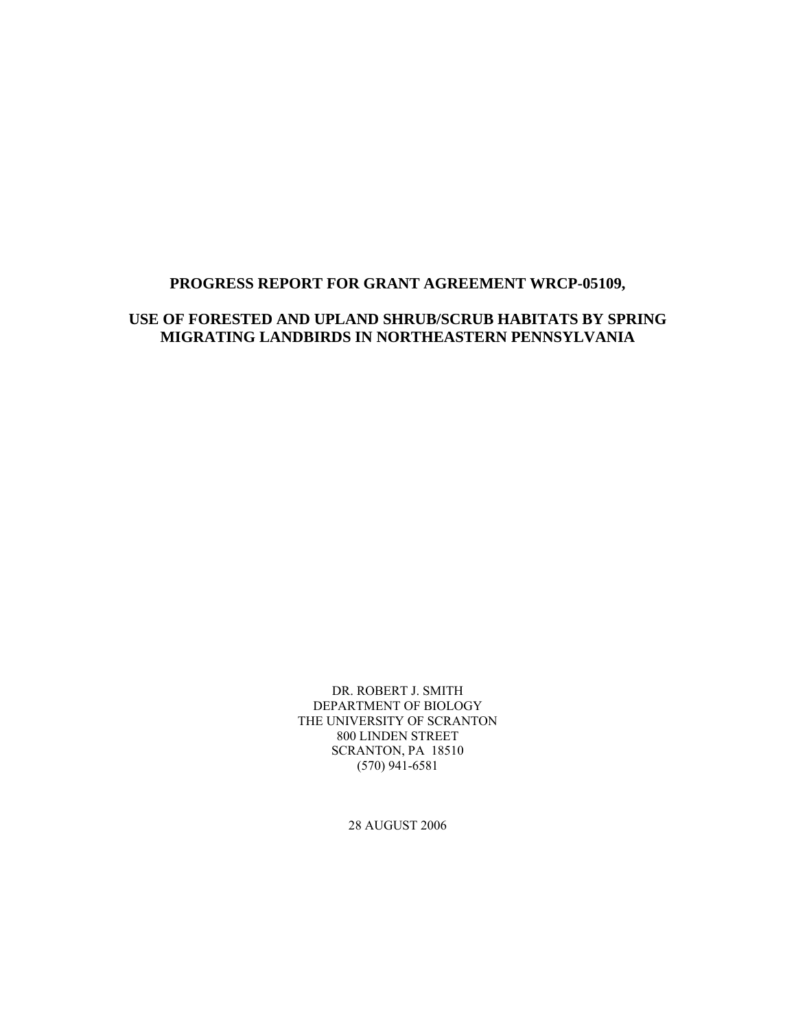#### **PROGRESS REPORT FOR GRANT AGREEMENT WRCP-05109,**

### **USE OF FORESTED AND UPLAND SHRUB/SCRUB HABITATS BY SPRING MIGRATING LANDBIRDS IN NORTHEASTERN PENNSYLVANIA**

DR. ROBERT J. SMITH DEPARTMENT OF BIOLOGY THE UNIVERSITY OF SCRANTON 800 LINDEN STREET SCRANTON, PA 18510 (570) 941-6581

28 AUGUST 2006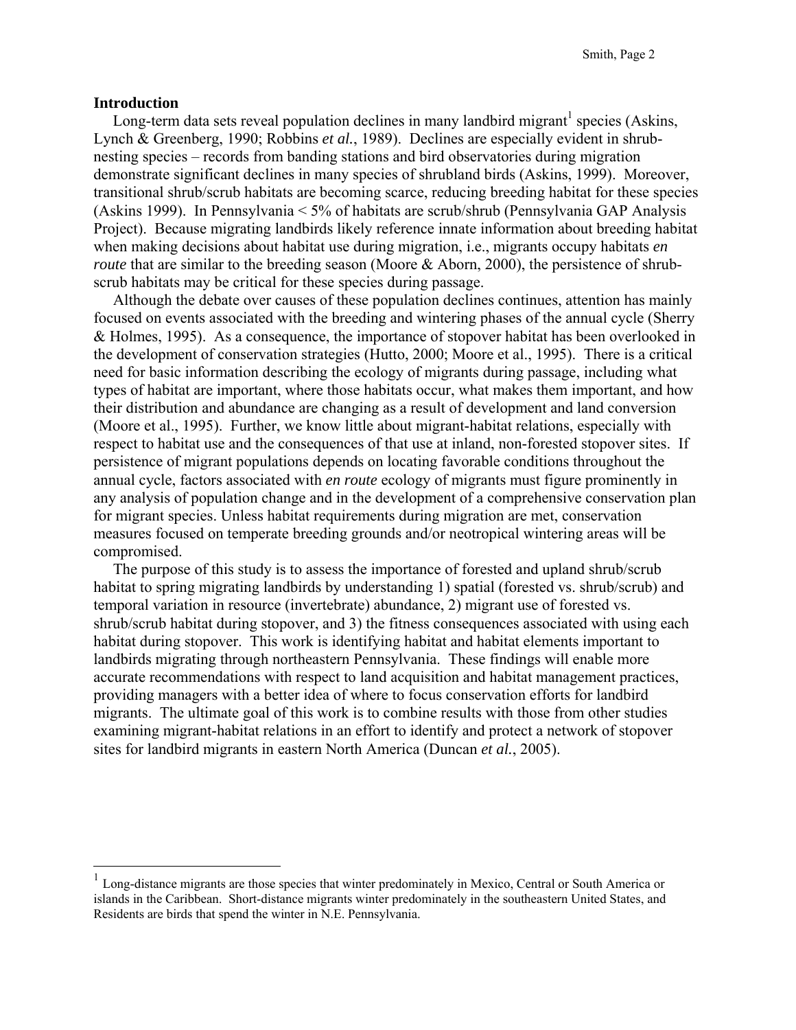#### **Introduction**

<u>.</u>

Long-term data sets reveal population declines in many landbird migrant<sup>1</sup> species (Askins, Lynch & Greenberg, 1990; Robbins *et al.*, 1989). Declines are especially evident in shrubnesting species – records from banding stations and bird observatories during migration demonstrate significant declines in many species of shrubland birds (Askins, 1999). Moreover, transitional shrub/scrub habitats are becoming scarce, reducing breeding habitat for these species (Askins 1999). In Pennsylvania < 5% of habitats are scrub/shrub (Pennsylvania GAP Analysis Project). Because migrating landbirds likely reference innate information about breeding habitat when making decisions about habitat use during migration, i.e., migrants occupy habitats *en route* that are similar to the breeding season (Moore & Aborn, 2000), the persistence of shrubscrub habitats may be critical for these species during passage.

 Although the debate over causes of these population declines continues, attention has mainly focused on events associated with the breeding and wintering phases of the annual cycle (Sherry & Holmes, 1995). As a consequence, the importance of stopover habitat has been overlooked in the development of conservation strategies (Hutto, 2000; Moore et al., 1995). There is a critical need for basic information describing the ecology of migrants during passage, including what types of habitat are important, where those habitats occur, what makes them important, and how their distribution and abundance are changing as a result of development and land conversion (Moore et al., 1995). Further, we know little about migrant-habitat relations, especially with respect to habitat use and the consequences of that use at inland, non-forested stopover sites. If persistence of migrant populations depends on locating favorable conditions throughout the annual cycle, factors associated with *en route* ecology of migrants must figure prominently in any analysis of population change and in the development of a comprehensive conservation plan for migrant species. Unless habitat requirements during migration are met, conservation measures focused on temperate breeding grounds and/or neotropical wintering areas will be compromised.

 The purpose of this study is to assess the importance of forested and upland shrub/scrub habitat to spring migrating landbirds by understanding 1) spatial (forested vs. shrub/scrub) and temporal variation in resource (invertebrate) abundance, 2) migrant use of forested vs. shrub/scrub habitat during stopover, and 3) the fitness consequences associated with using each habitat during stopover. This work is identifying habitat and habitat elements important to landbirds migrating through northeastern Pennsylvania. These findings will enable more accurate recommendations with respect to land acquisition and habitat management practices, providing managers with a better idea of where to focus conservation efforts for landbird migrants. The ultimate goal of this work is to combine results with those from other studies examining migrant-habitat relations in an effort to identify and protect a network of stopover sites for landbird migrants in eastern North America (Duncan *et al.*, 2005).

<sup>&</sup>lt;sup>1</sup> Long-distance migrants are those species that winter predominately in Mexico, Central or South America or islands in the Caribbean. Short-distance migrants winter predominately in the southeastern United States, and Residents are birds that spend the winter in N.E. Pennsylvania.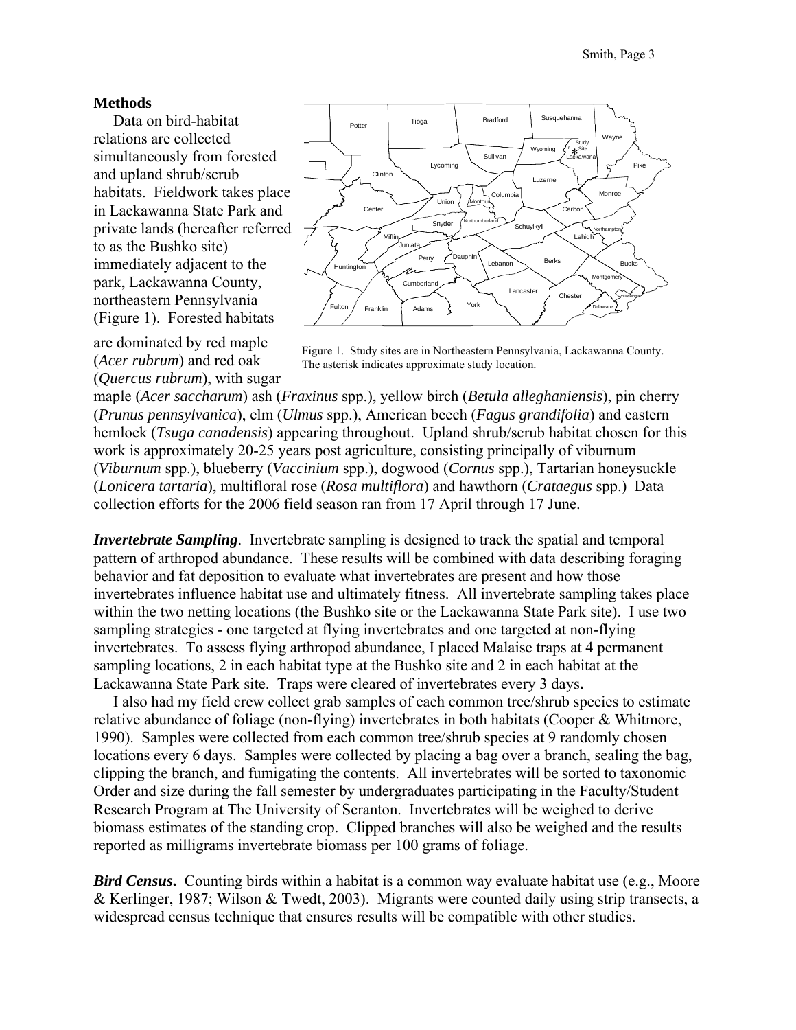#### **Methods**

 Data on bird-habitat relations are collected simultaneously from forested and upland shrub/scrub habitats. Fieldwork takes place in Lackawanna State Park and private lands (hereafter referred to as the Bushko site) immediately adjacent to the park, Lackawanna County, northeastern Pennsylvania (Figure 1). Forested habitats

are dominated by red maple (*Acer rubrum*) and red oak (*Quercus rubrum*), with sugar



Figure 1. Study sites are in Northeastern Pennsylvania, Lackawanna County. The asterisk indicates approximate study location.

maple (*Acer saccharum*) ash (*Fraxinus* spp.), yellow birch (*Betula alleghaniensis*), pin cherry (*Prunus pennsylvanica*), elm (*Ulmus* spp.), American beech (*Fagus grandifolia*) and eastern hemlock (*Tsuga canadensis*) appearing throughout. Upland shrub/scrub habitat chosen for this work is approximately 20-25 years post agriculture, consisting principally of viburnum (*Viburnum* spp.), blueberry (*Vaccinium* spp.), dogwood (*Cornus* spp.), Tartarian honeysuckle (*Lonicera tartaria*), multifloral rose (*Rosa multiflora*) and hawthorn (*Crataegus* spp.) Data collection efforts for the 2006 field season ran from 17 April through 17 June.

*Invertebrate Sampling*. Invertebrate sampling is designed to track the spatial and temporal pattern of arthropod abundance. These results will be combined with data describing foraging behavior and fat deposition to evaluate what invertebrates are present and how those invertebrates influence habitat use and ultimately fitness. All invertebrate sampling takes place within the two netting locations (the Bushko site or the Lackawanna State Park site). I use two sampling strategies - one targeted at flying invertebrates and one targeted at non-flying invertebrates. To assess flying arthropod abundance, I placed Malaise traps at 4 permanent sampling locations, 2 in each habitat type at the Bushko site and 2 in each habitat at the Lackawanna State Park site.Traps were cleared of invertebrates every 3 days**.** 

 I also had my field crew collect grab samples of each common tree/shrub species to estimate relative abundance of foliage (non-flying) invertebrates in both habitats (Cooper & Whitmore, 1990). Samples were collected from each common tree/shrub species at 9 randomly chosen locations every 6 days. Samples were collected by placing a bag over a branch, sealing the bag, clipping the branch, and fumigating the contents. All invertebrates will be sorted to taxonomic Order and size during the fall semester by undergraduates participating in the Faculty/Student Research Program at The University of Scranton. Invertebrates will be weighed to derive biomass estimates of the standing crop. Clipped branches will also be weighed and the results reported as milligrams invertebrate biomass per 100 grams of foliage.

*Bird Census***.** Counting birds within a habitat is a common way evaluate habitat use (e.g., Moore & Kerlinger, 1987; Wilson & Twedt, 2003). Migrants were counted daily using strip transects, a widespread census technique that ensures results will be compatible with other studies.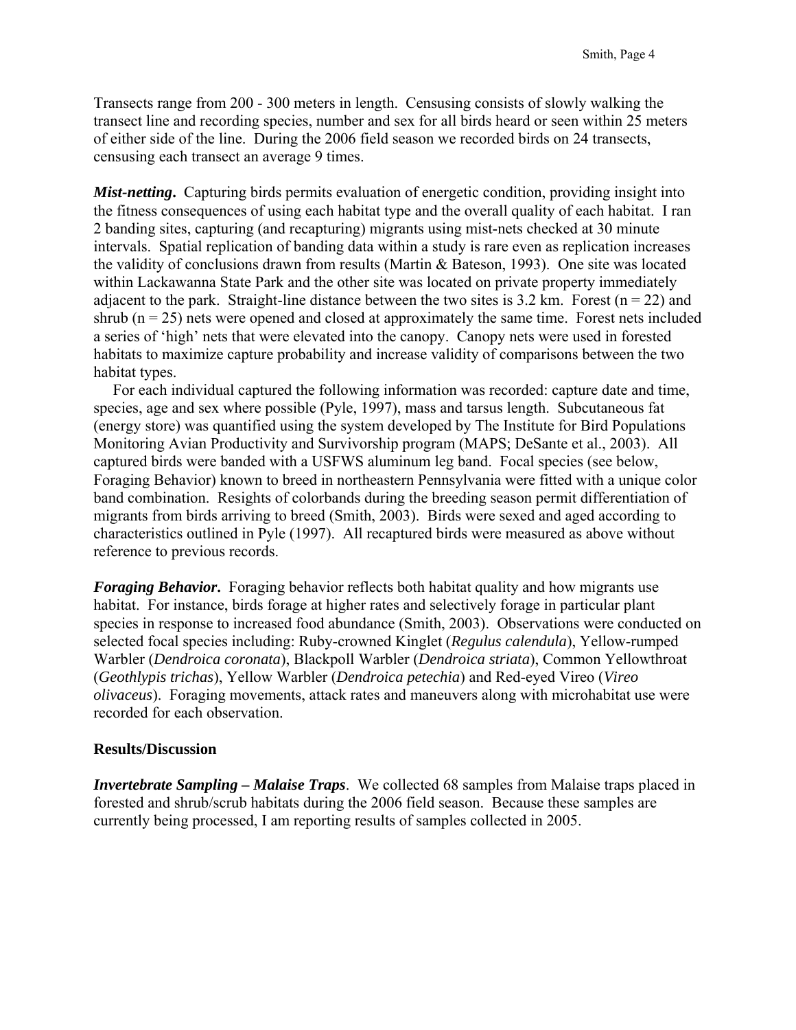Transects range from 200 - 300 meters in length. Censusing consists of slowly walking the transect line and recording species, number and sex for all birds heard or seen within 25 meters of either side of the line. During the 2006 field season we recorded birds on 24 transects, censusing each transect an average 9 times.

*Mist-netting***.** Capturing birds permits evaluation of energetic condition, providing insight into the fitness consequences of using each habitat type and the overall quality of each habitat. I ran 2 banding sites, capturing (and recapturing) migrants using mist-nets checked at 30 minute intervals. Spatial replication of banding data within a study is rare even as replication increases the validity of conclusions drawn from results (Martin & Bateson, 1993). One site was located within Lackawanna State Park and the other site was located on private property immediately adjacent to the park. Straight-line distance between the two sites is 3.2 km. Forest ( $n = 22$ ) and shrub ( $n = 25$ ) nets were opened and closed at approximately the same time. Forest nets included a series of 'high' nets that were elevated into the canopy. Canopy nets were used in forested habitats to maximize capture probability and increase validity of comparisons between the two habitat types.

 For each individual captured the following information was recorded: capture date and time, species, age and sex where possible (Pyle, 1997), mass and tarsus length. Subcutaneous fat (energy store) was quantified using the system developed by The Institute for Bird Populations Monitoring Avian Productivity and Survivorship program (MAPS; DeSante et al., 2003). All captured birds were banded with a USFWS aluminum leg band. Focal species (see below, Foraging Behavior) known to breed in northeastern Pennsylvania were fitted with a unique color band combination. Resights of colorbands during the breeding season permit differentiation of migrants from birds arriving to breed (Smith, 2003). Birds were sexed and aged according to characteristics outlined in Pyle (1997). All recaptured birds were measured as above without reference to previous records.

*Foraging Behavior***.** Foraging behavior reflects both habitat quality and how migrants use habitat. For instance, birds forage at higher rates and selectively forage in particular plant species in response to increased food abundance (Smith, 2003). Observations were conducted on selected focal species including: Ruby-crowned Kinglet (*Regulus calendula*), Yellow-rumped Warbler (*Dendroica coronata*), Blackpoll Warbler (*Dendroica striata*), Common Yellowthroat (*Geothlypis trichas*), Yellow Warbler (*Dendroica petechia*) and Red-eyed Vireo (*Vireo olivaceus*). Foraging movements, attack rates and maneuvers along with microhabitat use were recorded for each observation.

#### **Results/Discussion**

*Invertebrate Sampling – Malaise Traps*. We collected 68 samples from Malaise traps placed in forested and shrub/scrub habitats during the 2006 field season. Because these samples are currently being processed, I am reporting results of samples collected in 2005.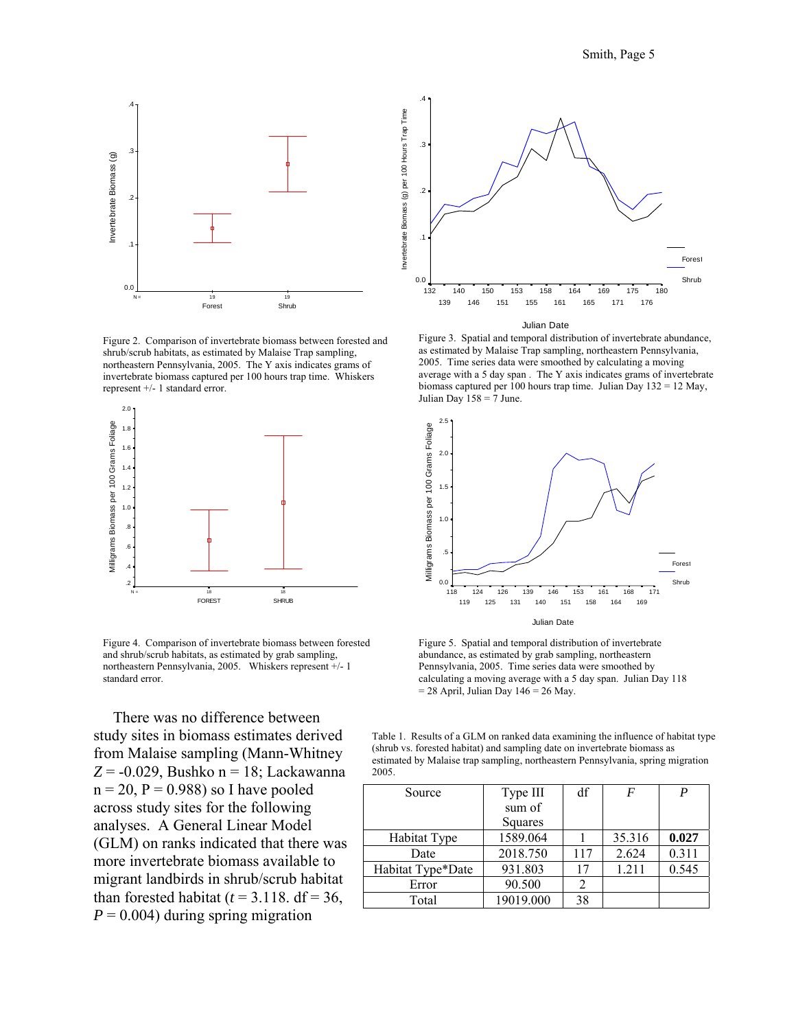

Figure 2. Comparison of invertebrate biomass between forested and shrub/scrub habitats, as estimated by Malaise Trap sampling, northeastern Pennsylvania, 2005. The Y axis indicates grams of invertebrate biomass captured per 100 hours trap time. Whiskers represent +/- 1 standard error.



Figure 4. Comparison of invertebrate biomass between forested and shrub/scrub habitats, as estimated by grab sampling, northeastern Pennsylvania, 2005. Whiskers represent +/- 1 standard error.

 There was no difference between study sites in biomass estimates derived from Malaise sampling (Mann-Whitney *Z* = -0.029, Bushko n = 18; Lackawanna  $n = 20$ ,  $P = 0.988$ ) so I have pooled across study sites for the following analyses. A General Linear Model (GLM) on ranks indicated that there was more invertebrate biomass available to migrant landbirds in shrub/scrub habitat than forested habitat ( $t = 3.118$ . df = 36,  $P = 0.004$ ) during spring migration



Figure 3. Spatial and temporal distribution of invertebrate abundance, as estimated by Malaise Trap sampling, northeastern Pennsylvania, 2005. Time series data were smoothed by calculating a moving average with a 5 day span . The Y axis indicates grams of invertebrate biomass captured per 100 hours trap time. Julian Day 132 = 12 May, Julian Day  $158 = 7$  June.



Figure 5. Spatial and temporal distribution of invertebrate abundance, as estimated by grab sampling, northeastern Pennsylvania, 2005. Time series data were smoothed by calculating a moving average with a 5 day span. Julian Day 118  $= 28$  April, Julian Day 146 = 26 May.

Table 1. Results of a GLM on ranked data examining the influence of habitat type (shrub vs. forested habitat) and sampling date on invertebrate biomass as estimated by Malaise trap sampling, northeastern Pennsylvania, spring migration 2005.

| Source            | Type III  | df  | F      |       |
|-------------------|-----------|-----|--------|-------|
|                   | sum of    |     |        |       |
|                   | Squares   |     |        |       |
| Habitat Type      | 1589.064  |     | 35.316 | 0.027 |
| Date              | 2018.750  | 117 | 2.624  | 0.311 |
| Habitat Type*Date | 931.803   | 17  | 1.211  | 0.545 |
| Error             | 90.500    |     |        |       |
| Total             | 19019.000 | 38  |        |       |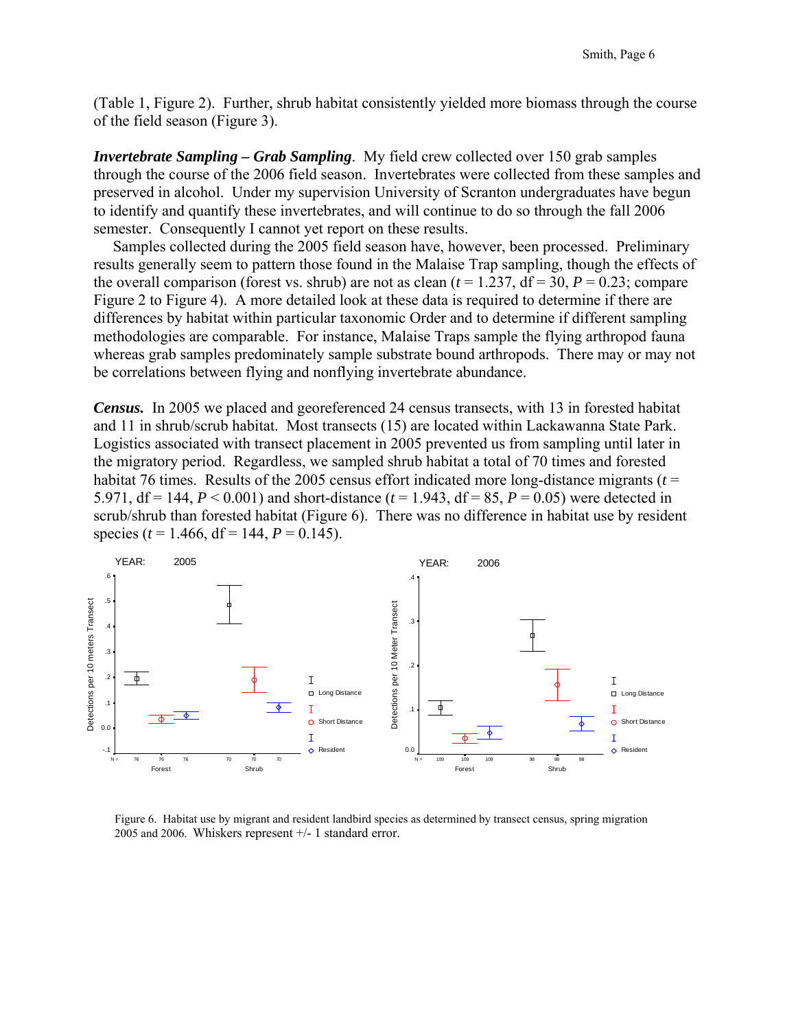(Table 1, Figure 2). Further, shrub habitat consistently yielded more biomass through the course of the field season (Figure 3).

*Invertebrate Sampling – Grab Sampling*. My field crew collected over 150 grab samples through the course of the 2006 field season. Invertebrates were collected from these samples and preserved in alcohol. Under my supervision University of Scranton undergraduates have begun to identify and quantify these invertebrates, and will continue to do so through the fall 2006 semester. Consequently I cannot yet report on these results.

 Samples collected during the 2005 field season have, however, been processed. Preliminary results generally seem to pattern those found in the Malaise Trap sampling, though the effects of the overall comparison (forest vs. shrub) are not as clean  $(t = 1.237, df = 30, P = 0.23$ ; compare Figure 2 to Figure 4). A more detailed look at these data is required to determine if there are differences by habitat within particular taxonomic Order and to determine if different sampling methodologies are comparable. For instance, Malaise Traps sample the flying arthropod fauna whereas grab samples predominately sample substrate bound arthropods. There may or may not be correlations between flying and nonflying invertebrate abundance.

*Census.* In 2005 we placed and georeferenced 24 census transects, with 13 in forested habitat and 11 in shrub/scrub habitat. Most transects (15) are located within Lackawanna State Park. Logistics associated with transect placement in 2005 prevented us from sampling until later in the migratory period. Regardless, we sampled shrub habitat a total of 70 times and forested habitat 76 times. Results of the 2005 census effort indicated more long-distance migrants (*t* = 5.971, df = 144, *P* < 0.001) and short-distance (*t* = 1.943, df = 85, *P* = 0.05) were detected in scrub/shrub than forested habitat (Figure 6). There was no difference in habitat use by resident species ( $t = 1.466$ , df = 144,  $P = 0.145$ ).



Figure 6. Habitat use by migrant and resident landbird species as determined by transect census, spring migration 2005 and 2006. Whiskers represent +/- 1 standard error.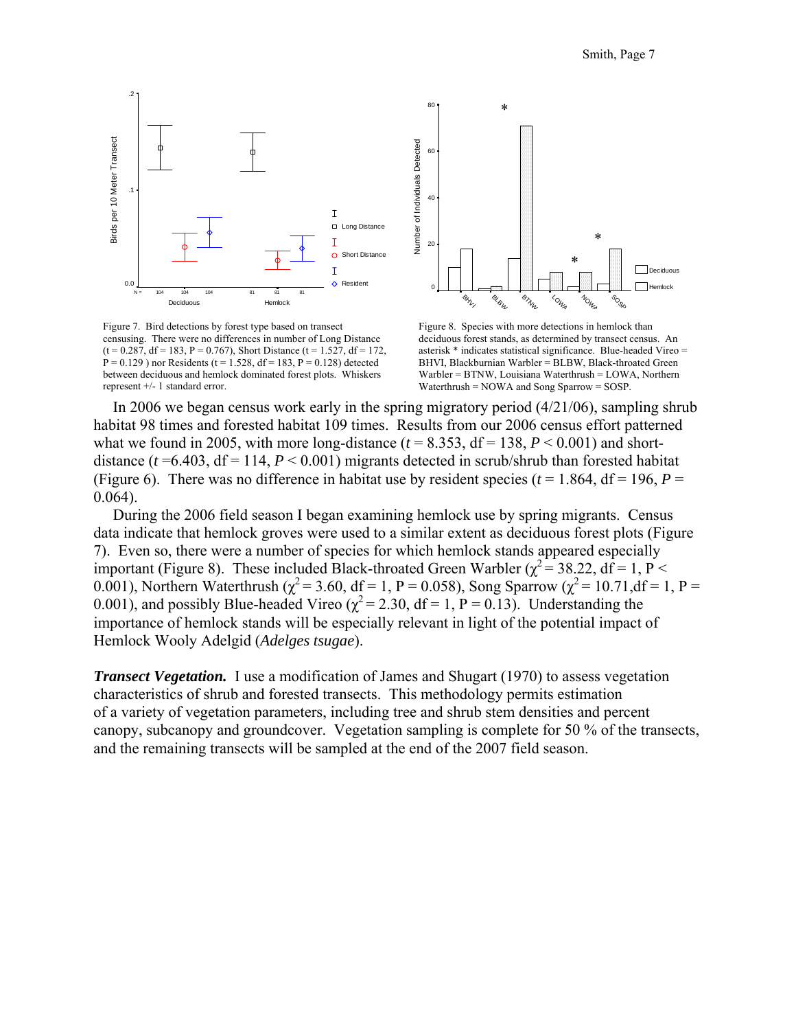

Figure 7. Bird detections by forest type based on transect censusing. There were no differences in number of Long Distance  $(t = 0.287, df = 183, P = 0.767)$ , Short Distance  $(t = 1.527, df = 172,$  $P = 0.129$ ) nor Residents (t = 1.528, df = 183, P = 0.128) detected between deciduous and hemlock dominated forest plots. Whiskers represent +/- 1 standard error.



Figure 8. Species with more detections in hemlock than deciduous forest stands, as determined by transect census. An asterisk \* indicates statistical significance. Blue-headed Vireo = BHVI, Blackburnian Warbler = BLBW, Black-throated Green Warbler = BTNW, Louisiana Waterthrush = LOWA, Northern Waterthrush = NOWA and Song Sparrow = SOSP.

 In 2006 we began census work early in the spring migratory period (4/21/06), sampling shrub habitat 98 times and forested habitat 109 times. Results from our 2006 census effort patterned what we found in 2005, with more long-distance  $(t = 8.353, df = 138, P < 0.001)$  and shortdistance  $(t=6.403, df=114, P<0.001)$  migrants detected in scrub/shrub than forested habitat (Figure 6). There was no difference in habitat use by resident species ( $t = 1.864$ , df = 196,  $P =$ 0.064).

 During the 2006 field season I began examining hemlock use by spring migrants. Census data indicate that hemlock groves were used to a similar extent as deciduous forest plots (Figure 7). Even so, there were a number of species for which hemlock stands appeared especially important (Figure 8). These included Black-throated Green Warbler ( $\chi^2$  = 38.22, df = 1, P < 0.001), Northern Waterthrush ( $\chi^2$  = 3.60, df = 1, P = 0.058), Song Sparrow ( $\chi^2$  = 10.71,df = 1, P = 0.001), and possibly Blue-headed Vireo ( $\chi^2$  = 2.30, df = 1, P = 0.13). Understanding the importance of hemlock stands will be especially relevant in light of the potential impact of Hemlock Wooly Adelgid (*Adelges tsugae*).

*Transect Vegetation.* I use a modification of James and Shugart (1970) to assess vegetation characteristics of shrub and forested transects. This methodology permits estimation of a variety of vegetation parameters, including tree and shrub stem densities and percent canopy, subcanopy and groundcover. Vegetation sampling is complete for 50 % of the transects, and the remaining transects will be sampled at the end of the 2007 field season.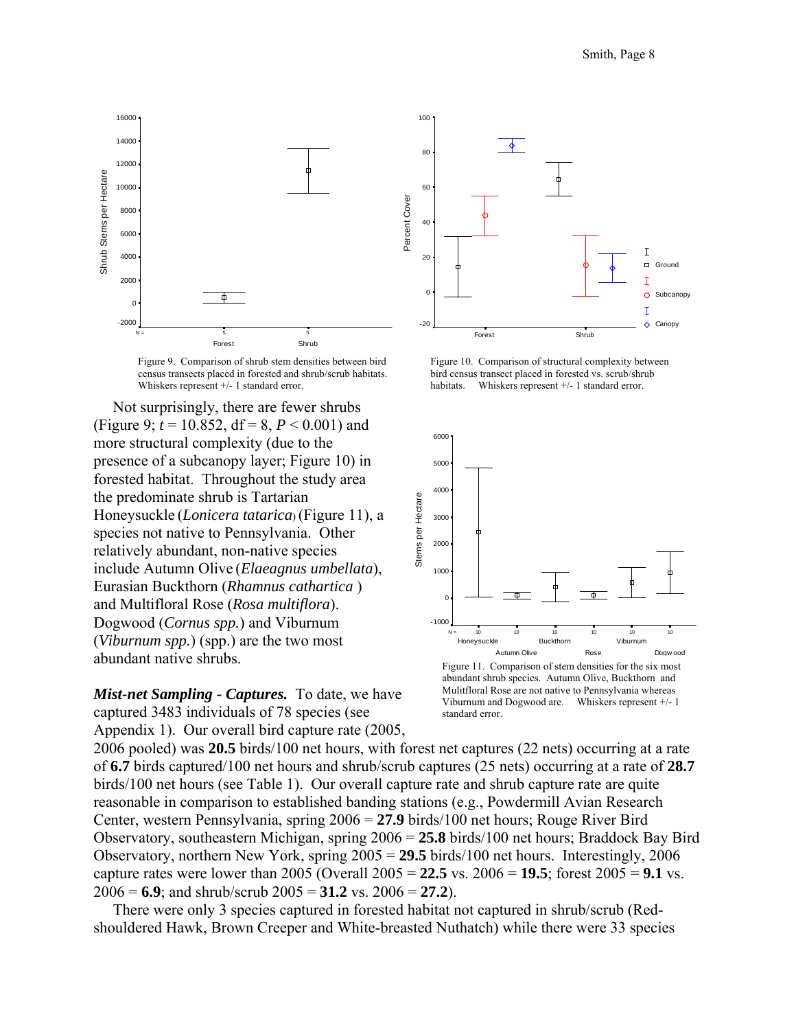

Figure 9. Comparison of shrub stem densities between bird census transects placed in forested and shrub/scrub habitats. Whiskers represent  $+/- 1$  standard error.

 Not surprisingly, there are fewer shrubs (Figure 9;  $t = 10.852$ ,  $df = 8$ ,  $P < 0.001$ ) and more structural complexity (due to the presence of a subcanopy layer; Figure 10) in forested habitat. Throughout the study area the predominate shrub is Tartarian Honeysuckle (*Lonicera tatarica*) (Figure 11), a species not native to Pennsylvania. Other relatively abundant, non-native species include Autumn Olive (*Elaeagnus umbellata*), Eurasian Buckthorn (*Rhamnus cathartica* ) and Multifloral Rose (*Rosa multiflora*). Dogwood (*Cornus spp.*) and Viburnum (*Viburnum spp.*) (spp.) are the two most abundant native shrubs.

*Mist-net Sampling - Captures.* To date, we have captured 3483 individuals of 78 species (see Appendix 1). Our overall bird capture rate (2005,



Figure 10. Comparison of structural complexity between bird census transect placed in forested vs. scrub/shrub habitats. Whiskers represent +/- 1 standard error.



Figure 11. Comparison of stem densities for the six most abundant shrub species. Autumn Olive, Buckthorn and Mulitfloral Rose are not native to Pennsylvania whereas Viburnum and Dogwood are. Whiskers represent +/- 1 standard error.

2006 pooled) was **20.5** birds/100 net hours, with forest net captures (22 nets) occurring at a rate of **6.7** birds captured/100 net hours and shrub/scrub captures (25 nets) occurring at a rate of **28.7** birds/100 net hours (see Table 1). Our overall capture rate and shrub capture rate are quite reasonable in comparison to established banding stations (e.g., Powdermill Avian Research Center, western Pennsylvania, spring 2006 = **27.9** birds/100 net hours; Rouge River Bird Observatory, southeastern Michigan, spring 2006 = **25.8** birds/100 net hours; Braddock Bay Bird Observatory, northern New York, spring 2005 = **29.5** birds/100 net hours. Interestingly, 2006 capture rates were lower than 2005 (Overall 2005 = **22.5** vs. 2006 = **19.5**; forest 2005 = **9.1** vs.  $2006 = 6.9$ ; and shrub/scrub  $2005 = 31.2$  vs.  $2006 = 27.2$ ).

 There were only 3 species captured in forested habitat not captured in shrub/scrub (Redshouldered Hawk, Brown Creeper and White-breasted Nuthatch) while there were 33 species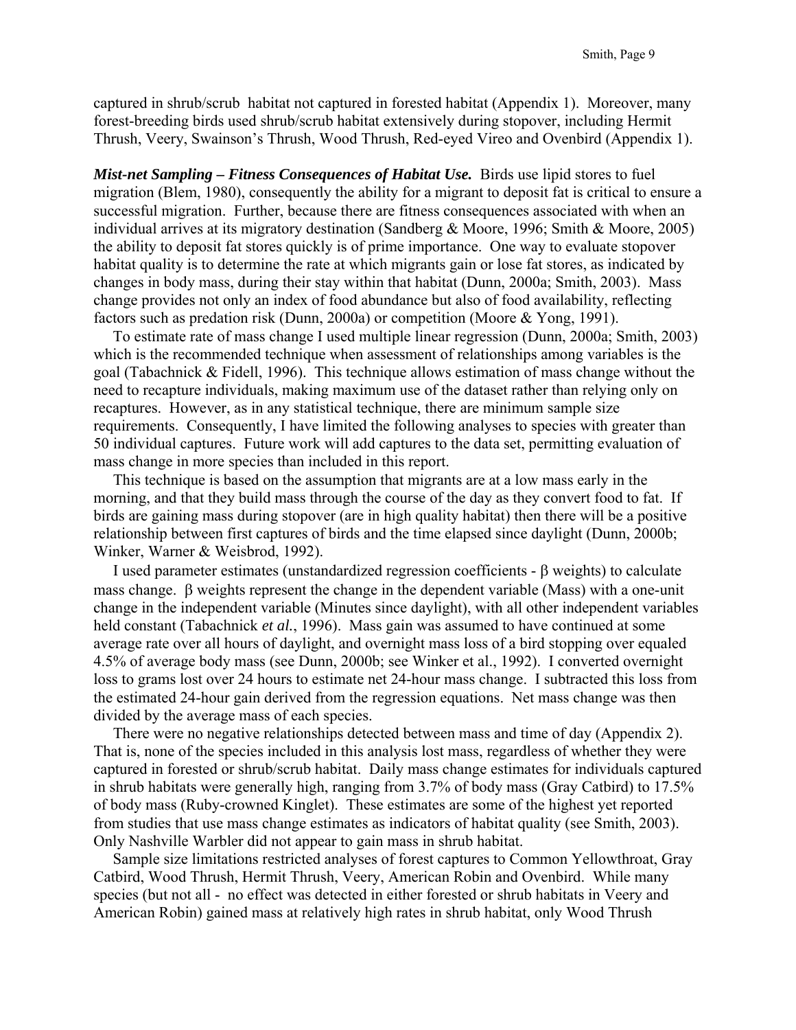captured in shrub/scrub habitat not captured in forested habitat (Appendix 1). Moreover, many forest-breeding birds used shrub/scrub habitat extensively during stopover, including Hermit Thrush, Veery, Swainson's Thrush, Wood Thrush, Red-eyed Vireo and Ovenbird (Appendix 1).

*Mist-net Sampling – Fitness Consequences of Habitat Use.* Birds use lipid stores to fuel migration (Blem, 1980), consequently the ability for a migrant to deposit fat is critical to ensure a successful migration. Further, because there are fitness consequences associated with when an individual arrives at its migratory destination (Sandberg & Moore, 1996; Smith & Moore, 2005) the ability to deposit fat stores quickly is of prime importance. One way to evaluate stopover habitat quality is to determine the rate at which migrants gain or lose fat stores, as indicated by changes in body mass, during their stay within that habitat (Dunn, 2000a; Smith, 2003). Mass change provides not only an index of food abundance but also of food availability, reflecting factors such as predation risk (Dunn, 2000a) or competition (Moore & Yong, 1991).

 To estimate rate of mass change I used multiple linear regression (Dunn, 2000a; Smith, 2003) which is the recommended technique when assessment of relationships among variables is the goal (Tabachnick & Fidell, 1996). This technique allows estimation of mass change without the need to recapture individuals, making maximum use of the dataset rather than relying only on recaptures. However, as in any statistical technique, there are minimum sample size requirements. Consequently, I have limited the following analyses to species with greater than 50 individual captures. Future work will add captures to the data set, permitting evaluation of mass change in more species than included in this report.

 This technique is based on the assumption that migrants are at a low mass early in the morning, and that they build mass through the course of the day as they convert food to fat. If birds are gaining mass during stopover (are in high quality habitat) then there will be a positive relationship between first captures of birds and the time elapsed since daylight (Dunn, 2000b; Winker, Warner & Weisbrod, 1992).

 I used parameter estimates (unstandardized regression coefficients - β weights) to calculate mass change. β weights represent the change in the dependent variable (Mass) with a one-unit change in the independent variable (Minutes since daylight), with all other independent variables held constant (Tabachnick *et al.*, 1996). Mass gain was assumed to have continued at some average rate over all hours of daylight, and overnight mass loss of a bird stopping over equaled 4.5% of average body mass (see Dunn, 2000b; see Winker et al., 1992). I converted overnight loss to grams lost over 24 hours to estimate net 24-hour mass change. I subtracted this loss from the estimated 24-hour gain derived from the regression equations. Net mass change was then divided by the average mass of each species.

 There were no negative relationships detected between mass and time of day (Appendix 2). That is, none of the species included in this analysis lost mass, regardless of whether they were captured in forested or shrub/scrub habitat. Daily mass change estimates for individuals captured in shrub habitats were generally high, ranging from 3.7% of body mass (Gray Catbird) to 17.5% of body mass (Ruby-crowned Kinglet). These estimates are some of the highest yet reported from studies that use mass change estimates as indicators of habitat quality (see Smith, 2003). Only Nashville Warbler did not appear to gain mass in shrub habitat.

 Sample size limitations restricted analyses of forest captures to Common Yellowthroat, Gray Catbird, Wood Thrush, Hermit Thrush, Veery, American Robin and Ovenbird. While many species (but not all - no effect was detected in either forested or shrub habitats in Veery and American Robin) gained mass at relatively high rates in shrub habitat, only Wood Thrush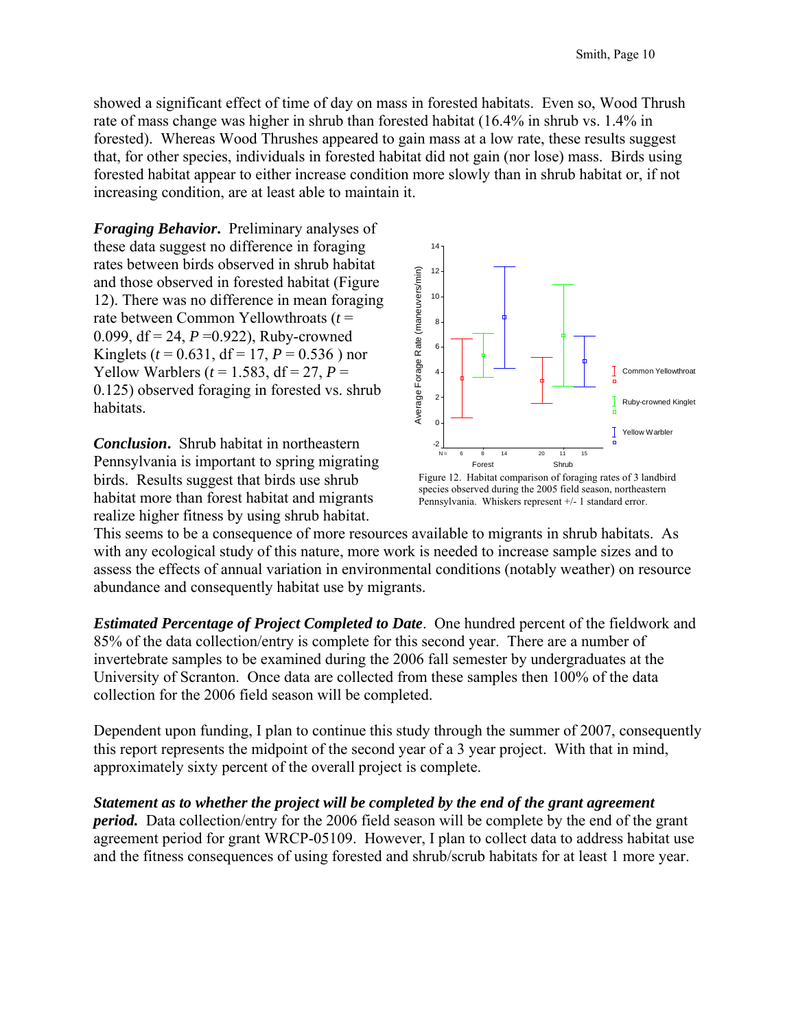showed a significant effect of time of day on mass in forested habitats. Even so, Wood Thrush rate of mass change was higher in shrub than forested habitat (16.4% in shrub vs. 1.4% in forested). Whereas Wood Thrushes appeared to gain mass at a low rate, these results suggest that, for other species, individuals in forested habitat did not gain (nor lose) mass. Birds using forested habitat appear to either increase condition more slowly than in shrub habitat or, if not increasing condition, are at least able to maintain it.

*Foraging Behavior***.** Preliminary analyses of these data suggest no difference in foraging rates between birds observed in shrub habitat and those observed in forested habitat (Figure 12). There was no difference in mean foraging rate between Common Yellowthroats (*t* = 0.099, df = 24, *P* =0.922), Ruby-crowned Kinglets ( $t = 0.631$ , df = 17,  $P = 0.536$ ) nor Yellow Warblers ( $t = 1.583$ , df = 27,  $P =$ 0.125) observed foraging in forested vs. shrub habitats.

*Conclusion***.** Shrub habitat in northeastern Pennsylvania is important to spring migrating birds. Results suggest that birds use shrub habitat more than forest habitat and migrants realize higher fitness by using shrub habitat.



species observed during the 2005 field season, northeastern Pennsylvania. Whiskers represent +/- 1 standard error.

This seems to be a consequence of more resources available to migrants in shrub habitats. As with any ecological study of this nature, more work is needed to increase sample sizes and to assess the effects of annual variation in environmental conditions (notably weather) on resource abundance and consequently habitat use by migrants.

*Estimated Percentage of Project Completed to Date*. One hundred percent of the fieldwork and 85% of the data collection/entry is complete for this second year. There are a number of invertebrate samples to be examined during the 2006 fall semester by undergraduates at the University of Scranton. Once data are collected from these samples then 100% of the data collection for the 2006 field season will be completed.

Dependent upon funding, I plan to continue this study through the summer of 2007, consequently this report represents the midpoint of the second year of a 3 year project. With that in mind, approximately sixty percent of the overall project is complete.

#### *Statement as to whether the project will be completed by the end of the grant agreement*

*period.* Data collection/entry for the 2006 field season will be complete by the end of the grant agreement period for grant WRCP-05109. However, I plan to collect data to address habitat use and the fitness consequences of using forested and shrub/scrub habitats for at least 1 more year.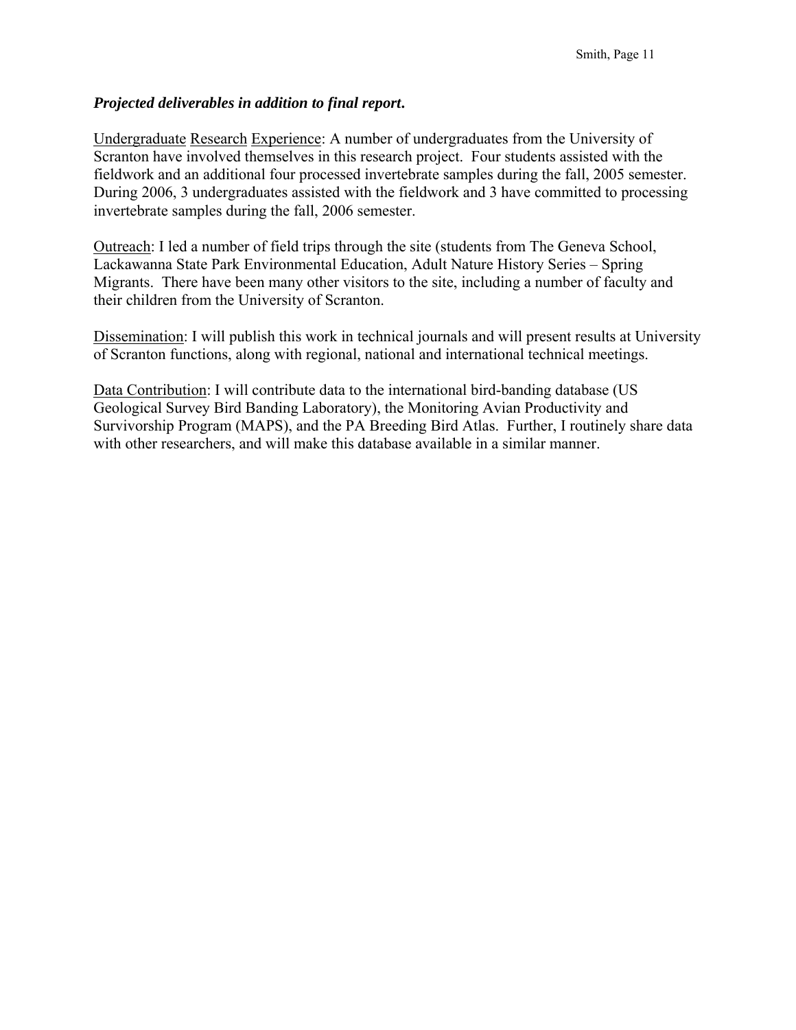### *Projected deliverables in addition to final report***.**

Undergraduate Research Experience: A number of undergraduates from the University of Scranton have involved themselves in this research project. Four students assisted with the fieldwork and an additional four processed invertebrate samples during the fall, 2005 semester. During 2006, 3 undergraduates assisted with the fieldwork and 3 have committed to processing invertebrate samples during the fall, 2006 semester.

Outreach: I led a number of field trips through the site (students from The Geneva School, Lackawanna State Park Environmental Education, Adult Nature History Series – Spring Migrants. There have been many other visitors to the site, including a number of faculty and their children from the University of Scranton.

Dissemination: I will publish this work in technical journals and will present results at University of Scranton functions, along with regional, national and international technical meetings.

Data Contribution: I will contribute data to the international bird-banding database (US Geological Survey Bird Banding Laboratory), the Monitoring Avian Productivity and Survivorship Program (MAPS), and the PA Breeding Bird Atlas. Further, I routinely share data with other researchers, and will make this database available in a similar manner.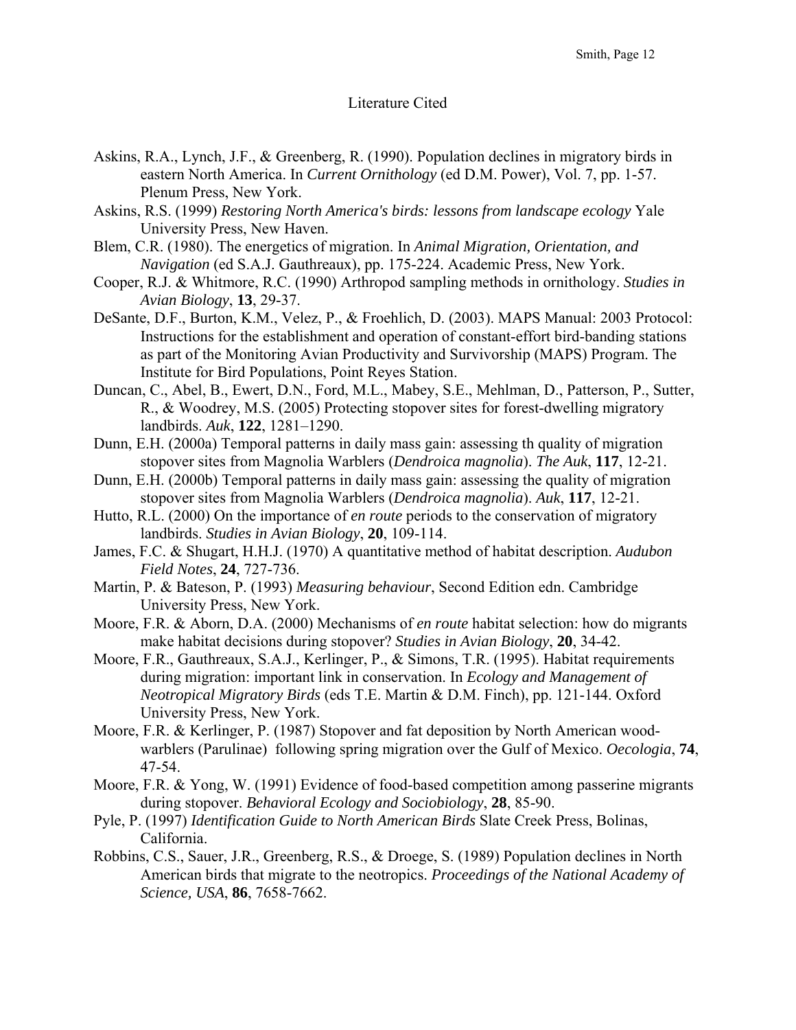### Literature Cited

- Askins, R.A., Lynch, J.F., & Greenberg, R. (1990). Population declines in migratory birds in eastern North America. In *Current Ornithology* (ed D.M. Power), Vol. 7, pp. 1-57. Plenum Press, New York.
- Askins, R.S. (1999) *Restoring North America's birds: lessons from landscape ecology* Yale University Press, New Haven.
- Blem, C.R. (1980). The energetics of migration. In *Animal Migration, Orientation, and Navigation* (ed S.A.J. Gauthreaux), pp. 175-224. Academic Press, New York.
- Cooper, R.J. & Whitmore, R.C. (1990) Arthropod sampling methods in ornithology. *Studies in Avian Biology*, **13**, 29-37.
- DeSante, D.F., Burton, K.M., Velez, P., & Froehlich, D. (2003). MAPS Manual: 2003 Protocol: Instructions for the establishment and operation of constant-effort bird-banding stations as part of the Monitoring Avian Productivity and Survivorship (MAPS) Program. The Institute for Bird Populations, Point Reyes Station.
- Duncan, C., Abel, B., Ewert, D.N., Ford, M.L., Mabey, S.E., Mehlman, D., Patterson, P., Sutter, R., & Woodrey, M.S. (2005) Protecting stopover sites for forest-dwelling migratory landbirds. *Auk*, **122**, 1281–1290.
- Dunn, E.H. (2000a) Temporal patterns in daily mass gain: assessing th quality of migration stopover sites from Magnolia Warblers (*Dendroica magnolia*). *The Auk*, **117**, 12-21.
- Dunn, E.H. (2000b) Temporal patterns in daily mass gain: assessing the quality of migration stopover sites from Magnolia Warblers (*Dendroica magnolia*). *Auk*, **117**, 12-21.
- Hutto, R.L. (2000) On the importance of *en route* periods to the conservation of migratory landbirds. *Studies in Avian Biology*, **20**, 109-114.
- James, F.C. & Shugart, H.H.J. (1970) A quantitative method of habitat description. *Audubon Field Notes*, **24**, 727-736.
- Martin, P. & Bateson, P. (1993) *Measuring behaviour*, Second Edition edn. Cambridge University Press, New York.
- Moore, F.R. & Aborn, D.A. (2000) Mechanisms of *en route* habitat selection: how do migrants make habitat decisions during stopover? *Studies in Avian Biology*, **20**, 34-42.
- Moore, F.R., Gauthreaux, S.A.J., Kerlinger, P., & Simons, T.R. (1995). Habitat requirements during migration: important link in conservation. In *Ecology and Management of Neotropical Migratory Birds* (eds T.E. Martin & D.M. Finch), pp. 121-144. Oxford University Press, New York.
- Moore, F.R. & Kerlinger, P. (1987) Stopover and fat deposition by North American woodwarblers (Parulinae) following spring migration over the Gulf of Mexico. *Oecologia*, **74**, 47-54.
- Moore, F.R. & Yong, W. (1991) Evidence of food-based competition among passerine migrants during stopover. *Behavioral Ecology and Sociobiology*, **28**, 85-90.
- Pyle, P. (1997) *Identification Guide to North American Birds* Slate Creek Press, Bolinas, California.
- Robbins, C.S., Sauer, J.R., Greenberg, R.S., & Droege, S. (1989) Population declines in North American birds that migrate to the neotropics. *Proceedings of the National Academy of Science, USA*, **86**, 7658-7662.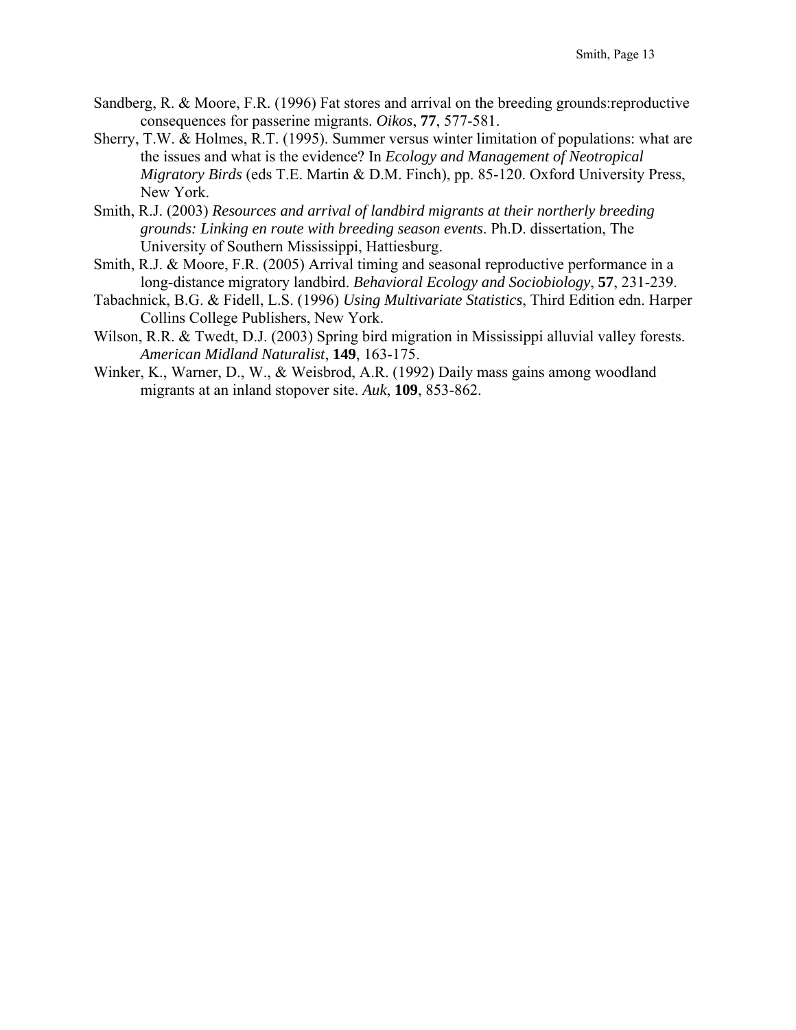- Sandberg, R. & Moore, F.R. (1996) Fat stores and arrival on the breeding grounds:reproductive consequences for passerine migrants. *Oikos*, **77**, 577-581.
- Sherry, T.W. & Holmes, R.T. (1995). Summer versus winter limitation of populations: what are the issues and what is the evidence? In *Ecology and Management of Neotropical Migratory Birds* (eds T.E. Martin & D.M. Finch), pp. 85-120. Oxford University Press, New York.
- Smith, R.J. (2003) *Resources and arrival of landbird migrants at their northerly breeding grounds: Linking en route with breeding season events*. Ph.D. dissertation, The University of Southern Mississippi, Hattiesburg.
- Smith, R.J. & Moore, F.R. (2005) Arrival timing and seasonal reproductive performance in a long-distance migratory landbird. *Behavioral Ecology and Sociobiology*, **57**, 231-239.
- Tabachnick, B.G. & Fidell, L.S. (1996) *Using Multivariate Statistics*, Third Edition edn. Harper Collins College Publishers, New York.
- Wilson, R.R. & Twedt, D.J. (2003) Spring bird migration in Mississippi alluvial valley forests. *American Midland Naturalist*, **149**, 163-175.
- Winker, K., Warner, D., W., & Weisbrod, A.R. (1992) Daily mass gains among woodland migrants at an inland stopover site. *Auk*, **109**, 853-862.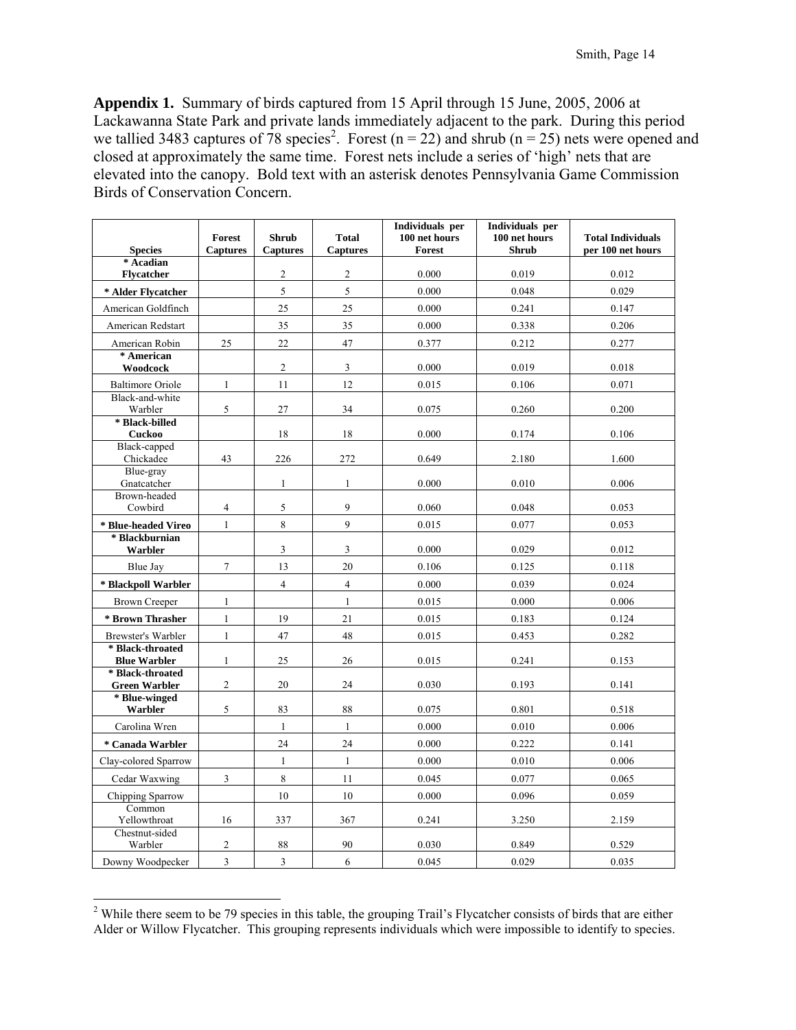**Appendix 1.** Summary of birds captured from 15 April through 15 June, 2005, 2006 at Lackawanna State Park and private lands immediately adjacent to the park. During this period we tallied 3483 captures of 78 species<sup>2</sup>. Forest (n = 22) and shrub (n = 25) nets were opened and closed at approximately the same time. Forest nets include a series of 'high' nets that are elevated into the canopy. Bold text with an asterisk denotes Pennsylvania Game Commission Birds of Conservation Concern.

|                                         | Forest          | <b>Shrub</b>    | <b>Total</b>    | Individuals per<br>100 net hours | Individuals per<br>100 net hours | <b>Total Individuals</b> |
|-----------------------------------------|-----------------|-----------------|-----------------|----------------------------------|----------------------------------|--------------------------|
| <b>Species</b>                          | <b>Captures</b> | <b>Captures</b> | <b>Captures</b> | <b>Forest</b>                    | <b>Shrub</b>                     | per 100 net hours        |
| * Acadian<br><b>Flycatcher</b>          |                 | $\overline{c}$  | $\overline{c}$  | 0.000                            | 0.019                            | 0.012                    |
| * Alder Flycatcher                      |                 | 5               | 5               | 0.000                            | 0.048                            | 0.029                    |
| American Goldfinch                      |                 | 25              | 25              | 0.000                            | 0.241                            | 0.147                    |
| American Redstart                       |                 | 35              | 35              | 0.000                            | 0.338                            | 0.206                    |
| American Robin                          | 25              | 22              | 47              | 0.377                            | 0.212                            | 0.277                    |
| * American<br>Woodcock                  |                 | $\overline{2}$  | 3               | 0.000                            | 0.019                            | 0.018                    |
| <b>Baltimore Oriole</b>                 | $\mathbf{1}$    | 11              | 12              | 0.015                            | 0.106                            | 0.071                    |
| Black-and-white<br>Warbler              | 5               | 27              | 34              | 0.075                            | 0.260                            | 0.200                    |
| * Black-billed<br>Cuckoo                |                 | 18              | 18              | 0.000                            | 0.174                            | 0.106                    |
| Black-capped<br>Chickadee               | 43              | 226             | 272             | 0.649                            | 2.180                            | 1.600                    |
| Blue-gray<br>Gnatcatcher                |                 | $\mathbf{1}$    | $\mathbf{1}$    | 0.000                            | 0.010                            | 0.006                    |
| Brown-headed<br>Cowbird                 | $\overline{4}$  | 5               | 9               | 0.060                            | 0.048                            | 0.053                    |
| * Blue-headed Vireo                     | $\mathbf{1}$    | 8               | $\mathsf{Q}$    | 0.015                            | 0.077                            | 0.053                    |
| * Blackburnian<br>Warbler               |                 | 3               | 3               | 0.000                            | 0.029                            | 0.012                    |
| <b>Blue Jay</b>                         | $\overline{7}$  | 13              | 20              | 0.106                            | 0.125                            | 0.118                    |
| * Blackpoll Warbler                     |                 | $\overline{4}$  | $\overline{4}$  | 0.000                            | 0.039                            | 0.024                    |
| <b>Brown Creeper</b>                    | 1               |                 | $\mathbf{1}$    | 0.015                            | 0.000                            | 0.006                    |
| * Brown Thrasher                        | $\mathbf{1}$    | 19              | 21              | 0.015                            | 0.183                            | 0.124                    |
| Brewster's Warbler                      | $\mathbf{1}$    | 47              | 48              | 0.015                            | 0.453                            | 0.282                    |
| * Black-throated<br><b>Blue Warbler</b> | $\mathbf{1}$    | 25              | 26              | 0.015                            | 0.241                            | 0.153                    |
| * Black-throated                        |                 |                 |                 |                                  |                                  |                          |
| <b>Green Warbler</b>                    | $\overline{2}$  | 20              | 24              | 0.030                            | 0.193                            | 0.141                    |
| * Blue-winged<br>Warbler                | 5               | 83              | 88              | 0.075                            | 0.801                            | 0.518                    |
| Carolina Wren                           |                 | $\mathbf{1}$    | $\mathbf{1}$    | 0.000                            | 0.010                            | 0.006                    |
| * Canada Warbler                        |                 | 24              | 24              | 0.000                            | 0.222                            | 0.141                    |
| Clay-colored Sparrow                    |                 | $\mathbf{1}$    | $\mathbf{1}$    | 0.000                            | 0.010                            | 0.006                    |
| Cedar Waxwing                           | 3               | $\,$ 8 $\,$     | 11              | 0.045                            | 0.077                            | 0.065                    |
| Chipping Sparrow                        |                 | 10              | 10              | 0.000                            | 0.096                            | 0.059                    |
| Common<br>Yellowthroat                  | 16              | 337             | 367             | 0.241                            | 3.250                            | 2.159                    |
| Chestnut-sided<br>Warbler               | 2               | 88              | 90              | 0.030                            | 0.849                            | 0.529                    |
| Downy Woodpecker                        | 3               | 3               | 6               | 0.045                            | 0.029                            | 0.035                    |

<sup>&</sup>lt;sup>2</sup> While there seem to be 79 species in this table, the grouping Trail's Flycatcher consists of birds that are either Alder or Willow Flycatcher. This grouping represents individuals which were impossible to identify to species.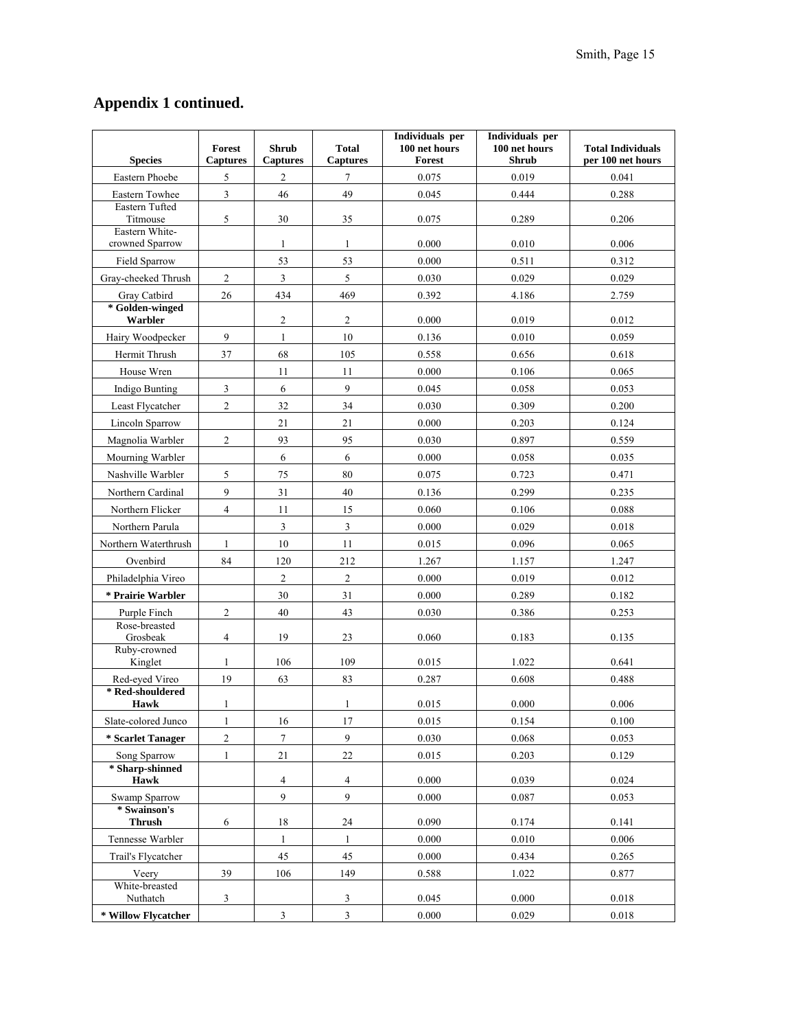# **Appendix 1 continued.**

| <b>Species</b>                    | <b>Forest</b><br><b>Captures</b> | <b>Shrub</b><br><b>Captures</b> | <b>Total</b><br><b>Captures</b> | Individuals per<br>100 net hours<br><b>Forest</b> | Individuals per<br>100 net hours<br><b>Shrub</b> | <b>Total Individuals</b><br>per 100 net hours |
|-----------------------------------|----------------------------------|---------------------------------|---------------------------------|---------------------------------------------------|--------------------------------------------------|-----------------------------------------------|
| Eastern Phoebe                    | 5                                | 2                               | 7                               | 0.075                                             | 0.019                                            | 0.041                                         |
| Eastern Towhee                    | 3                                | 46                              | 49                              | 0.045                                             | 0.444                                            | 0.288                                         |
| Eastern Tufted<br>Titmouse        | 5                                | 30                              | 35                              | 0.075                                             | 0.289                                            | 0.206                                         |
| Eastern White-<br>crowned Sparrow |                                  | $\mathbf{1}$                    | $\mathbf{1}$                    | 0.000                                             | 0.010                                            | 0.006                                         |
| Field Sparrow                     |                                  | 53                              | 53                              | 0.000                                             | 0.511                                            | 0.312                                         |
| Gray-cheeked Thrush               | 2                                | $\overline{3}$                  | 5                               | 0.030                                             | 0.029                                            | 0.029                                         |
| Gray Catbird                      | 26                               | 434                             | 469                             | 0.392                                             | 4.186                                            | 2.759                                         |
| * Golden-winged<br>Warbler        |                                  | $\boldsymbol{2}$                | $\overline{c}$                  | 0.000                                             | 0.019                                            | 0.012                                         |
| Hairy Woodpecker                  | 9                                | $\mathbf{1}$                    | 10                              | 0.136                                             | 0.010                                            | 0.059                                         |
| Hermit Thrush                     | 37                               | 68                              | 105                             | 0.558                                             | 0.656                                            | 0.618                                         |
| House Wren                        |                                  | 11                              | 11                              | 0.000                                             | 0.106                                            | 0.065                                         |
| Indigo Bunting                    | 3                                | 6                               | $\overline{9}$                  | 0.045                                             | 0.058                                            | 0.053                                         |
| Least Flycatcher                  | $\overline{2}$                   | 32                              | 34                              | 0.030                                             | 0.309                                            | 0.200                                         |
| Lincoln Sparrow                   |                                  | 21                              | 21                              | 0.000                                             | 0.203                                            | 0.124                                         |
| Magnolia Warbler                  | $\overline{2}$                   | 93                              | 95                              | 0.030                                             | 0.897                                            | 0.559                                         |
| Mourning Warbler                  |                                  | 6                               | 6                               | 0.000                                             | 0.058                                            | 0.035                                         |
| Nashville Warbler                 | 5                                | 75                              | 80                              | 0.075                                             | 0.723                                            | 0.471                                         |
| Northern Cardinal                 | 9                                | 31                              | 40                              | 0.136                                             | 0.299                                            | 0.235                                         |
| Northern Flicker                  | $\overline{4}$                   | 11                              | 15                              | 0.060                                             | 0.106                                            | 0.088                                         |
| Northern Parula                   |                                  | $\overline{3}$                  | $\overline{3}$                  | 0.000                                             | 0.029                                            | 0.018                                         |
| Northern Waterthrush              | 1                                | 10                              | 11                              | 0.015                                             | 0.096                                            | 0.065                                         |
| Ovenbird                          | 84                               | 120                             | 212                             | 1.267                                             | 1.157                                            | 1.247                                         |
| Philadelphia Vireo                |                                  | $\sqrt{2}$                      | $\overline{c}$                  | 0.000                                             | 0.019                                            | 0.012                                         |
| * Prairie Warbler                 |                                  | 30                              | 31                              | 0.000                                             | 0.289                                            | 0.182                                         |
| Purple Finch                      | $\overline{2}$                   | 40                              | 43                              | 0.030                                             | 0.386                                            | 0.253                                         |
| Rose-breasted<br>Grosbeak         | 4                                | 19                              | 23                              | 0.060                                             | 0.183                                            | 0.135                                         |
| Ruby-crowned<br>Kinglet           | $\mathbf{1}$                     | 106                             | 109                             | 0.015                                             | 1.022                                            | 0.641                                         |
| Red-eyed Vireo                    | 19                               | 63                              | 83                              | 0.287                                             | 0.608                                            | 0.488                                         |
| * Red-shouldered                  |                                  |                                 |                                 |                                                   |                                                  |                                               |
| Hawk                              | $\mathbf{1}$                     |                                 | $\mathbf{1}$                    | 0.015                                             | 0.000                                            | 0.006                                         |
| Slate-colored Junco               | $\mathbf{1}$                     | 16                              | 17                              | 0.015                                             | 0.154                                            | 0.100                                         |
| * Scarlet Tanager                 | $\overline{c}$                   | $\tau$                          | 9                               | 0.030                                             | 0.068                                            | 0.053                                         |
| Song Sparrow                      | $\mathbf{1}$                     | 21                              | $22\,$                          | 0.015                                             | 0.203                                            | 0.129                                         |
| * Sharp-shinned<br>Hawk           |                                  | $\overline{4}$                  | $\overline{4}$                  | 0.000                                             | 0.039                                            | 0.024                                         |
| Swamp Sparrow                     |                                  | 9                               | 9                               | 0.000                                             | 0.087                                            | 0.053                                         |
| * Swainson's<br><b>Thrush</b>     | 6                                | 18                              | 24                              | 0.090                                             | 0.174                                            | 0.141                                         |
| Tennesse Warbler                  |                                  | $\mathbf{1}$                    | $\mathbf{1}$                    | 0.000                                             | 0.010                                            | 0.006                                         |
| Trail's Flycatcher                |                                  | 45                              | 45                              | 0.000                                             | 0.434                                            | 0.265                                         |
| Veery                             | 39                               | 106                             | 149                             | 0.588                                             | 1.022                                            | 0.877                                         |
| White-breasted<br>Nuthatch        | 3                                |                                 | 3                               | 0.045                                             | 0.000                                            | 0.018                                         |
| * Willow Flycatcher               |                                  | $\mathfrak{Z}$                  | $\overline{\mathbf{3}}$         | 0.000                                             | 0.029                                            | $0.018\,$                                     |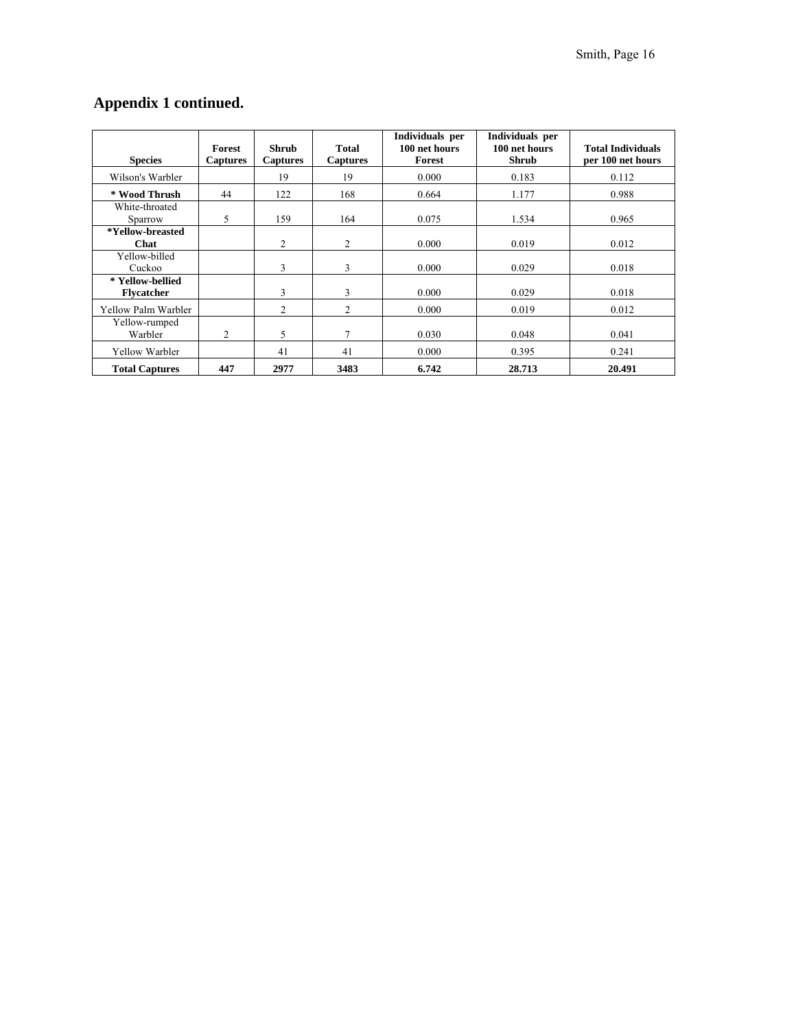# **Appendix 1 continued.**

| <b>Species</b>                        | Forest<br><b>Captures</b> | Shrub<br><b>Captures</b> | <b>Total</b><br><b>Captures</b> | Individuals per<br>100 net hours<br>Forest | Individuals per<br>100 net hours<br><b>Shrub</b> | <b>Total Individuals</b><br>per 100 net hours |
|---------------------------------------|---------------------------|--------------------------|---------------------------------|--------------------------------------------|--------------------------------------------------|-----------------------------------------------|
| Wilson's Warbler                      |                           | 19                       | 19                              | 0.000                                      | 0.183                                            | 0.112                                         |
| * Wood Thrush                         | 44                        | 122                      | 168                             | 0.664                                      | 1.177                                            | 0.988                                         |
| White-throated<br>Sparrow             | 5                         | 159                      | 164                             | 0.075                                      | 1.534                                            | 0.965                                         |
| *Yellow-breasted<br>Chat              |                           | 2                        | $\overline{2}$                  | 0.000                                      | 0.019                                            | 0.012                                         |
| Yellow-billed<br>Cuckoo               |                           | 3                        | 3                               | 0.000                                      | 0.029                                            | 0.018                                         |
| * Yellow-bellied<br><b>Flycatcher</b> |                           | 3                        | 3                               | 0.000                                      | 0.029                                            | 0.018                                         |
| Yellow Palm Warbler                   |                           | $\overline{c}$           | $\overline{2}$                  | 0.000                                      | 0.019                                            | 0.012                                         |
| Yellow-rumped<br>Warbler              | $\overline{c}$            | 5                        | 7                               | 0.030                                      | 0.048                                            | 0.041                                         |
| Yellow Warbler                        |                           | 41                       | 41                              | 0.000                                      | 0.395                                            | 0.241                                         |
| <b>Total Captures</b>                 | 447                       | 2977                     | 3483                            | 6.742                                      | 28.713                                           | 20.491                                        |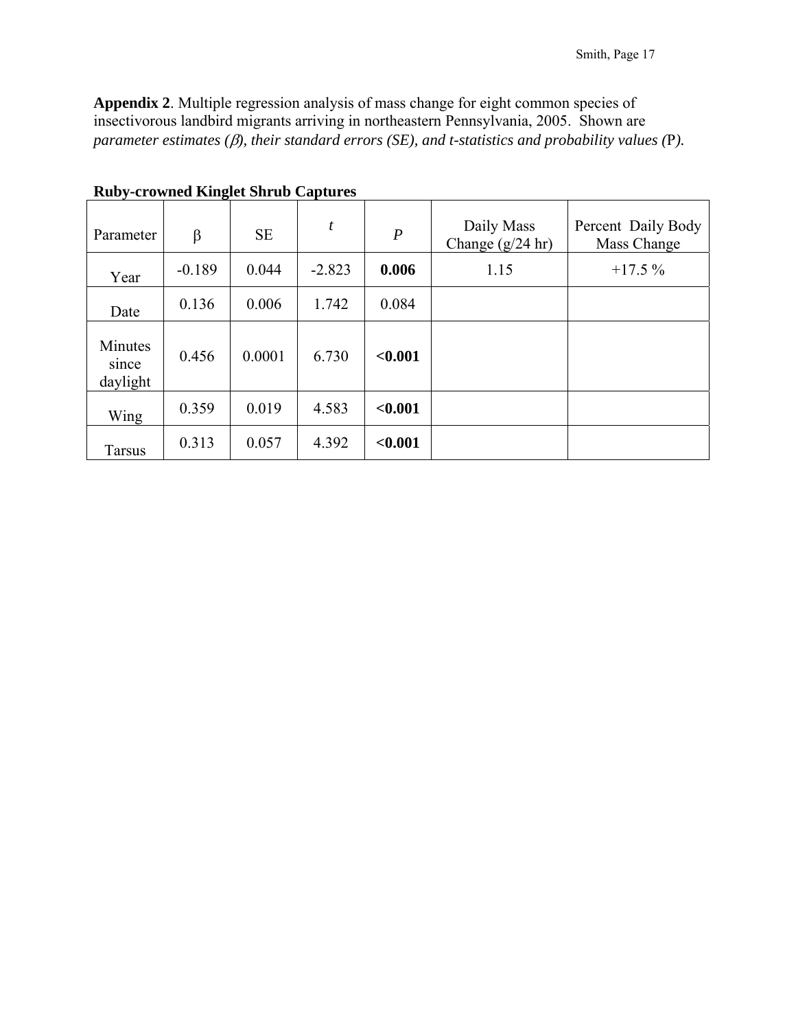**Appendix 2**. Multiple regression analysis of mass change for eight common species of insectivorous landbird migrants arriving in northeastern Pennsylvania, 2005. Shown are *parameter estimates (*β*), their standard errors (SE), and t-statistics and probability values (*P*).* 

| Parameter                    | β        | <b>SE</b> | t        | $\boldsymbol{P}$ | Daily Mass<br>Change $(g/24$ hr) | Percent Daily Body<br>Mass Change |
|------------------------------|----------|-----------|----------|------------------|----------------------------------|-----------------------------------|
| Year                         | $-0.189$ | 0.044     | $-2.823$ | 0.006            | 1.15                             | $+17.5%$                          |
| Date                         | 0.136    | 0.006     | 1.742    | 0.084            |                                  |                                   |
| Minutes<br>since<br>daylight | 0.456    | 0.0001    | 6.730    | < 0.001          |                                  |                                   |
| Wing                         | 0.359    | 0.019     | 4.583    | < 0.001          |                                  |                                   |
| <b>Tarsus</b>                | 0.313    | 0.057     | 4.392    | < 0.001          |                                  |                                   |

**Ruby-crowned Kinglet Shrub Captures**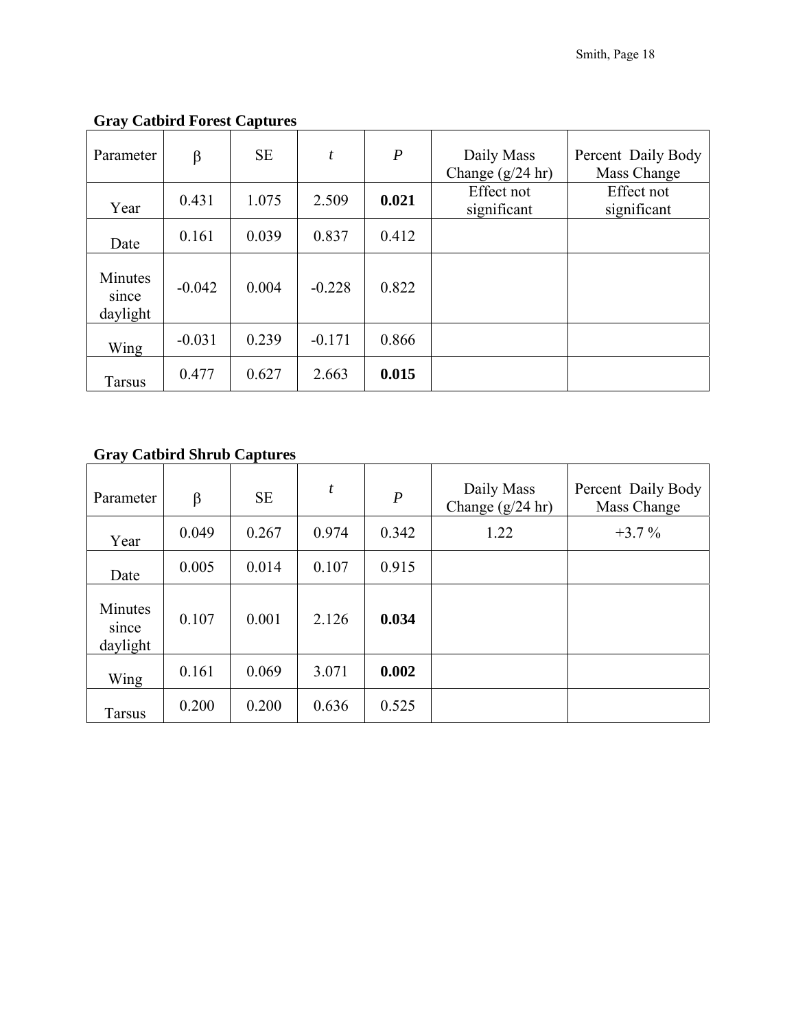| Parameter                    | β        | <b>SE</b> | $\boldsymbol{t}$ | $\boldsymbol{P}$ | Daily Mass<br>Change $(g/24$ hr) | Percent Daily Body<br>Mass Change |
|------------------------------|----------|-----------|------------------|------------------|----------------------------------|-----------------------------------|
| Year                         | 0.431    | 1.075     | 2.509            | 0.021            | Effect not<br>significant        | Effect not<br>significant         |
| Date                         | 0.161    | 0.039     | 0.837            | 0.412            |                                  |                                   |
| Minutes<br>since<br>daylight | $-0.042$ | 0.004     | $-0.228$         | 0.822            |                                  |                                   |
| Wing                         | $-0.031$ | 0.239     | $-0.171$         | 0.866            |                                  |                                   |
| <b>Tarsus</b>                | 0.477    | 0.627     | 2.663            | 0.015            |                                  |                                   |

# **Gray Catbird Forest Captures**

# **Gray Catbird Shrub Captures**

| Parameter                    | β     | <b>SE</b> | t     | $\boldsymbol{P}$ | Daily Mass<br>Change $(g/24$ hr) | Percent Daily Body<br>Mass Change |
|------------------------------|-------|-----------|-------|------------------|----------------------------------|-----------------------------------|
| Year                         | 0.049 | 0.267     | 0.974 | 0.342            | 1.22                             | $+3.7\%$                          |
| Date                         | 0.005 | 0.014     | 0.107 | 0.915            |                                  |                                   |
| Minutes<br>since<br>daylight | 0.107 | 0.001     | 2.126 | 0.034            |                                  |                                   |
| Wing                         | 0.161 | 0.069     | 3.071 | 0.002            |                                  |                                   |
| <b>Tarsus</b>                | 0.200 | 0.200     | 0.636 | 0.525            |                                  |                                   |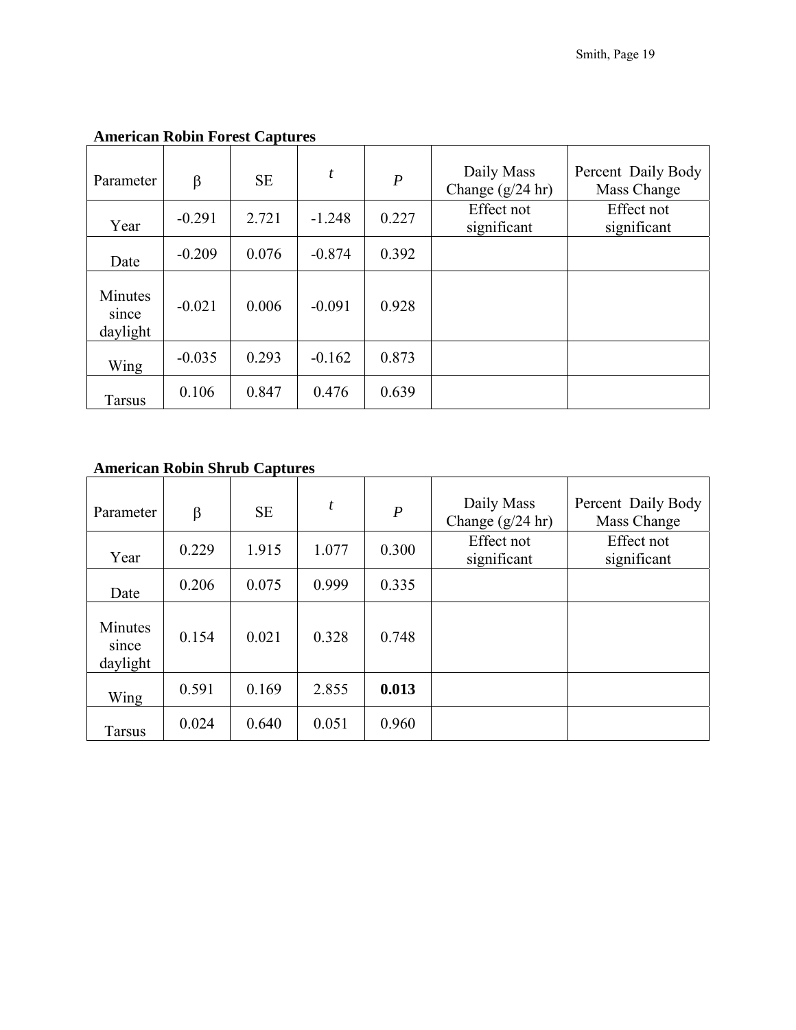| Parameter                    | $\beta$  | <b>SE</b> | t        | $\boldsymbol{P}$ | Daily Mass<br>Change $(g/24$ hr) | Percent Daily Body<br>Mass Change |
|------------------------------|----------|-----------|----------|------------------|----------------------------------|-----------------------------------|
| Year                         | $-0.291$ | 2.721     | $-1.248$ | 0.227            | Effect not<br>significant        | Effect not<br>significant         |
| Date                         | $-0.209$ | 0.076     | $-0.874$ | 0.392            |                                  |                                   |
| Minutes<br>since<br>daylight | $-0.021$ | 0.006     | $-0.091$ | 0.928            |                                  |                                   |
| Wing                         | $-0.035$ | 0.293     | $-0.162$ | 0.873            |                                  |                                   |
| <b>Tarsus</b>                | 0.106    | 0.847     | 0.476    | 0.639            |                                  |                                   |

### **American Robin Forest Captures**

## **American Robin Shrub Captures**

| Parameter                    | β     | <b>SE</b> | t     | $\boldsymbol{P}$ | Daily Mass<br>Change $(g/24$ hr) | Percent Daily Body<br>Mass Change |
|------------------------------|-------|-----------|-------|------------------|----------------------------------|-----------------------------------|
| Year                         | 0.229 | 1.915     | 1.077 | 0.300            | Effect not<br>significant        | Effect not<br>significant         |
| Date                         | 0.206 | 0.075     | 0.999 | 0.335            |                                  |                                   |
| Minutes<br>since<br>daylight | 0.154 | 0.021     | 0.328 | 0.748            |                                  |                                   |
| Wing                         | 0.591 | 0.169     | 2.855 | 0.013            |                                  |                                   |
| <b>Tarsus</b>                | 0.024 | 0.640     | 0.051 | 0.960            |                                  |                                   |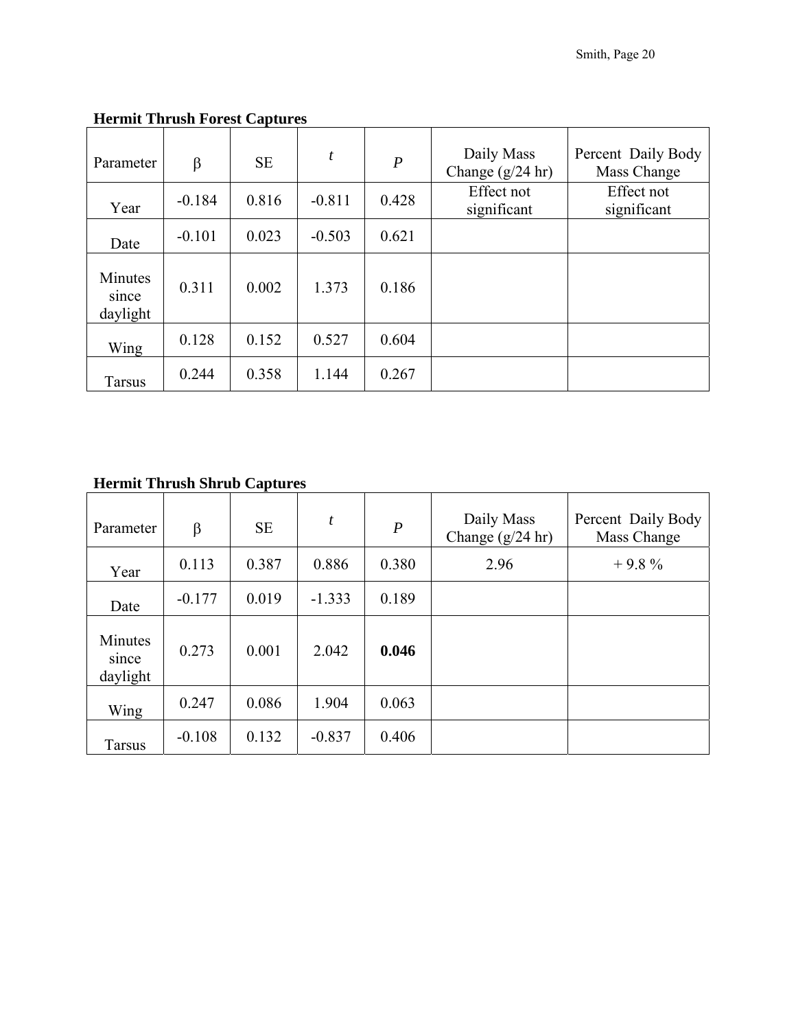| Parameter                    | $\beta$  | <b>SE</b> | t        | $\boldsymbol{P}$ | Daily Mass<br>Change $(g/24$ hr) | Percent Daily Body<br>Mass Change |
|------------------------------|----------|-----------|----------|------------------|----------------------------------|-----------------------------------|
| Year                         | $-0.184$ | 0.816     | $-0.811$ | 0.428            | Effect not<br>significant        | Effect not<br>significant         |
| Date                         | $-0.101$ | 0.023     | $-0.503$ | 0.621            |                                  |                                   |
| Minutes<br>since<br>daylight | 0.311    | 0.002     | 1.373    | 0.186            |                                  |                                   |
| Wing                         | 0.128    | 0.152     | 0.527    | 0.604            |                                  |                                   |
| <b>Tarsus</b>                | 0.244    | 0.358     | 1.144    | 0.267            |                                  |                                   |

### **Hermit Thrush Forest Captures**

# **Hermit Thrush Shrub Captures**

| Parameter                    | β        | <b>SE</b> | t        | $\boldsymbol{P}$ | Daily Mass<br>Change $(g/24$ hr) | Percent Daily Body<br>Mass Change |
|------------------------------|----------|-----------|----------|------------------|----------------------------------|-----------------------------------|
| Year                         | 0.113    | 0.387     | 0.886    | 0.380            | 2.96                             | $+9.8%$                           |
| Date                         | $-0.177$ | 0.019     | $-1.333$ | 0.189            |                                  |                                   |
| Minutes<br>since<br>daylight | 0.273    | 0.001     | 2.042    | 0.046            |                                  |                                   |
| Wing                         | 0.247    | 0.086     | 1.904    | 0.063            |                                  |                                   |
| <b>Tarsus</b>                | $-0.108$ | 0.132     | $-0.837$ | 0.406            |                                  |                                   |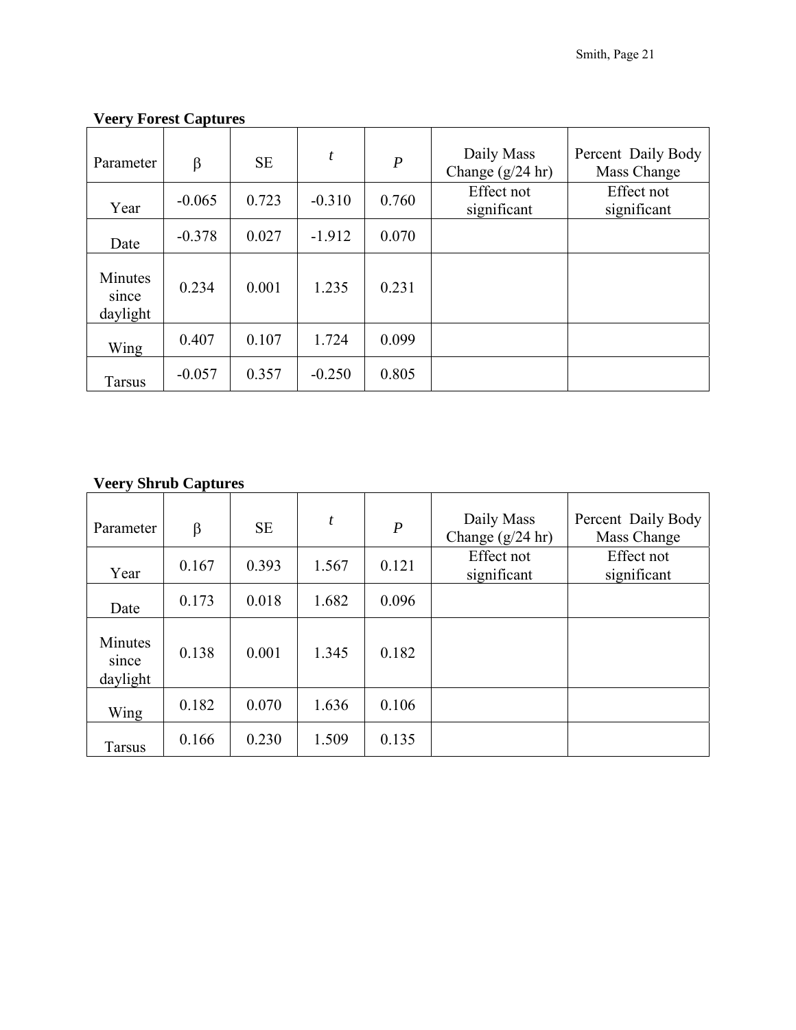| Parameter                    | β        | <b>SE</b> | t        | $\boldsymbol{P}$ | Daily Mass<br>Change $(g/24$ hr) | Percent Daily Body<br>Mass Change |
|------------------------------|----------|-----------|----------|------------------|----------------------------------|-----------------------------------|
| Year                         | $-0.065$ | 0.723     | $-0.310$ | 0.760            | Effect not<br>significant        | Effect not<br>significant         |
| Date                         | $-0.378$ | 0.027     | $-1.912$ | 0.070            |                                  |                                   |
| Minutes<br>since<br>daylight | 0.234    | 0.001     | 1.235    | 0.231            |                                  |                                   |
| Wing                         | 0.407    | 0.107     | 1.724    | 0.099            |                                  |                                   |
| <b>Tarsus</b>                | $-0.057$ | 0.357     | $-0.250$ | 0.805            |                                  |                                   |

### **Veery Forest Captures**

### **Veery Shrub Captures**

| ັ                            |         |           |                  |                  |                                  |                                   |
|------------------------------|---------|-----------|------------------|------------------|----------------------------------|-----------------------------------|
| Parameter                    | $\beta$ | <b>SE</b> | $\boldsymbol{t}$ | $\boldsymbol{P}$ | Daily Mass<br>Change $(g/24$ hr) | Percent Daily Body<br>Mass Change |
| Year                         | 0.167   | 0.393     | 1.567            | 0.121            | Effect not<br>significant        | Effect not<br>significant         |
| Date                         | 0.173   | 0.018     | 1.682            | 0.096            |                                  |                                   |
| Minutes<br>since<br>daylight | 0.138   | 0.001     | 1.345            | 0.182            |                                  |                                   |
| Wing                         | 0.182   | 0.070     | 1.636            | 0.106            |                                  |                                   |
| <b>Tarsus</b>                | 0.166   | 0.230     | 1.509            | 0.135            |                                  |                                   |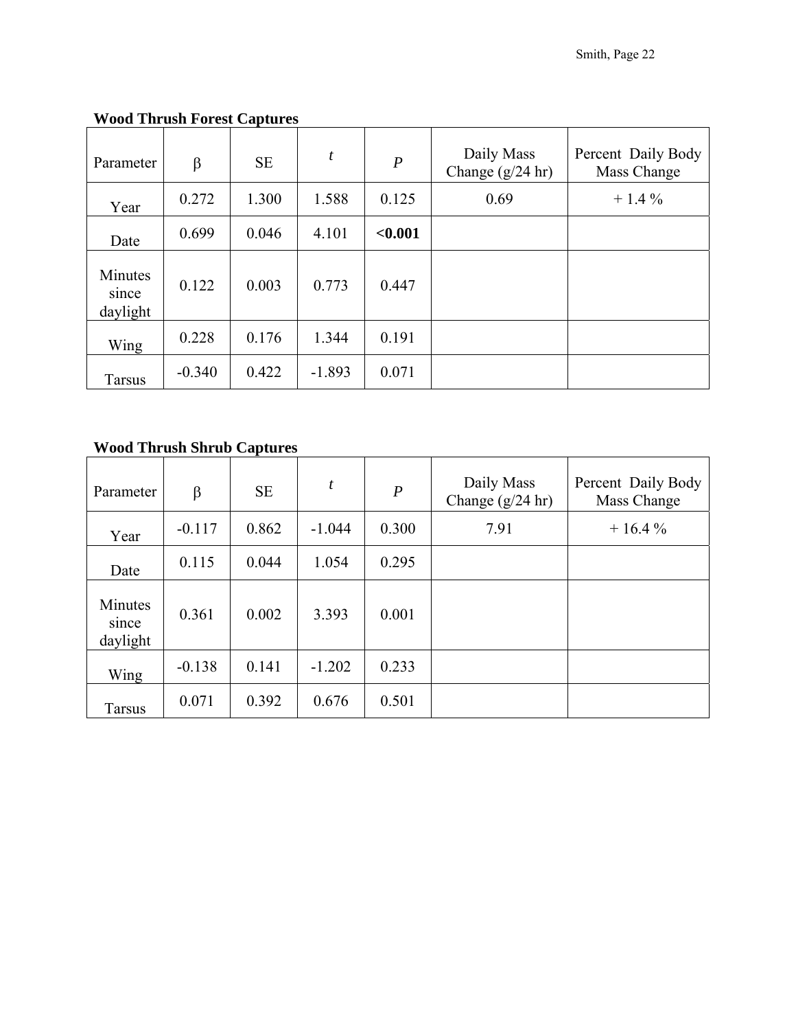| Parameter                    | β        | <b>SE</b> | t        | $\boldsymbol{P}$ | Daily Mass<br>Change $(g/24$ hr) | Percent Daily Body<br>Mass Change |
|------------------------------|----------|-----------|----------|------------------|----------------------------------|-----------------------------------|
| Year                         | 0.272    | 1.300     | 1.588    | 0.125            | 0.69                             | $+1.4\%$                          |
| Date                         | 0.699    | 0.046     | 4.101    | < 0.001          |                                  |                                   |
| Minutes<br>since<br>daylight | 0.122    | 0.003     | 0.773    | 0.447            |                                  |                                   |
| Wing                         | 0.228    | 0.176     | 1.344    | 0.191            |                                  |                                   |
| <b>Tarsus</b>                | $-0.340$ | 0.422     | $-1.893$ | 0.071            |                                  |                                   |

# **Wood Thrush Forest Captures**

# **Wood Thrush Shrub Captures**

| Parameter                    | β        | <b>SE</b> | t        | $\boldsymbol{P}$ | Daily Mass<br>Change $(g/24$ hr) | Percent Daily Body<br>Mass Change |
|------------------------------|----------|-----------|----------|------------------|----------------------------------|-----------------------------------|
| Year                         | $-0.117$ | 0.862     | $-1.044$ | 0.300            | 7.91                             | $+16.4%$                          |
| Date                         | 0.115    | 0.044     | 1.054    | 0.295            |                                  |                                   |
| Minutes<br>since<br>daylight | 0.361    | 0.002     | 3.393    | 0.001            |                                  |                                   |
| Wing                         | $-0.138$ | 0.141     | $-1.202$ | 0.233            |                                  |                                   |
| <b>Tarsus</b>                | 0.071    | 0.392     | 0.676    | 0.501            |                                  |                                   |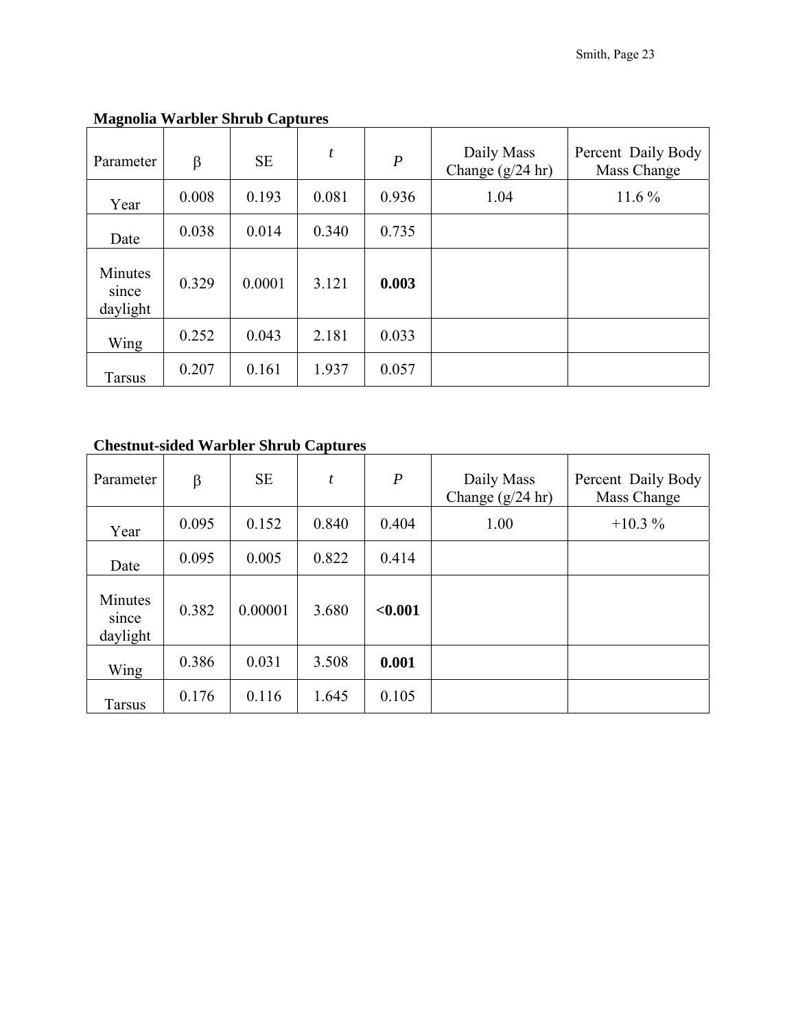| Parameter                    | β     | <b>SE</b> | $\boldsymbol{t}$ | $\boldsymbol{P}$ | Daily Mass<br>Change $(g/24$ hr) | Percent Daily Body<br>Mass Change |
|------------------------------|-------|-----------|------------------|------------------|----------------------------------|-----------------------------------|
| Year                         | 0.008 | 0.193     | 0.081            | 0.936            | 1.04                             | $11.6\%$                          |
| Date                         | 0.038 | 0.014     | 0.340            | 0.735            |                                  |                                   |
| Minutes<br>since<br>daylight | 0.329 | 0.0001    | 3.121            | 0.003            |                                  |                                   |
| Wing                         | 0.252 | 0.043     | 2.181            | 0.033            |                                  |                                   |
| <b>Tarsus</b>                | 0.207 | 0.161     | 1.937            | 0.057            |                                  |                                   |

# **Magnolia Warbler Shrub Captures**

### **Chestnut-sided Warbler Shrub Captures**

| Parameter                    | β     | <b>SE</b> | t     | $\boldsymbol{P}$ | Daily Mass<br>Change $(g/24$ hr) | Percent Daily Body<br>Mass Change |
|------------------------------|-------|-----------|-------|------------------|----------------------------------|-----------------------------------|
| Year                         | 0.095 | 0.152     | 0.840 | 0.404            | 1.00                             | $+10.3\%$                         |
| Date                         | 0.095 | 0.005     | 0.822 | 0.414            |                                  |                                   |
| Minutes<br>since<br>daylight | 0.382 | 0.00001   | 3.680 | < 0.001          |                                  |                                   |
| Wing                         | 0.386 | 0.031     | 3.508 | 0.001            |                                  |                                   |
| <b>Tarsus</b>                | 0.176 | 0.116     | 1.645 | 0.105            |                                  |                                   |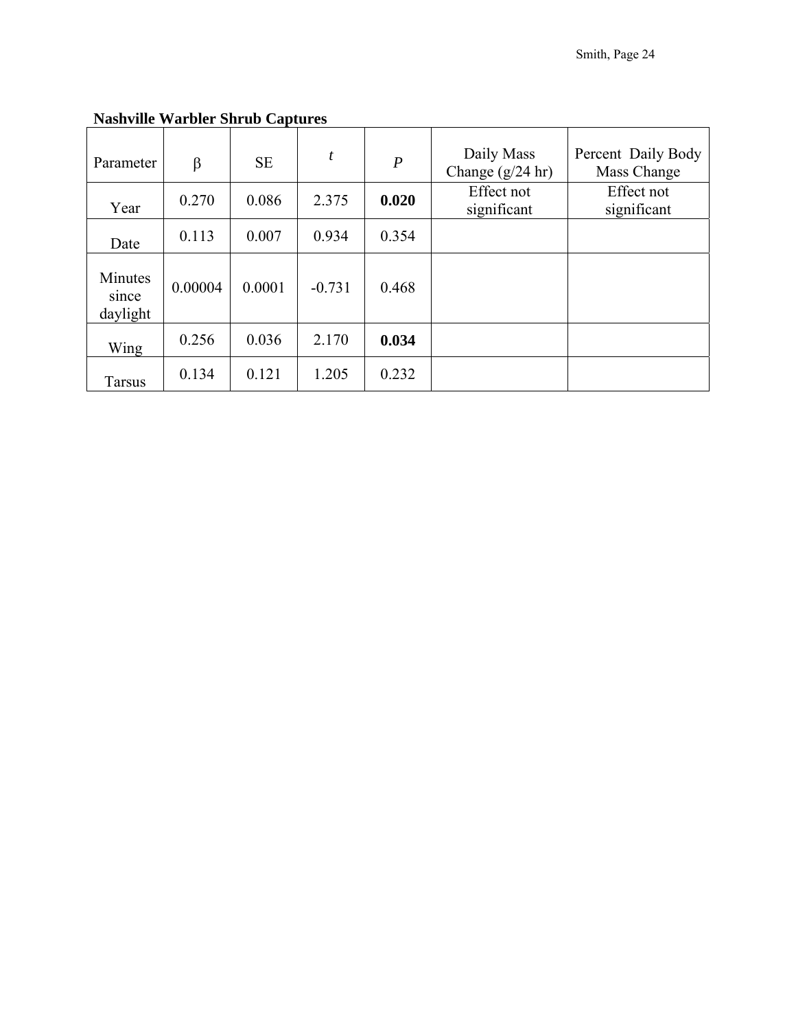| Parameter                    | $\beta$ | <b>SE</b> | t        | $\boldsymbol{P}$ | Daily Mass<br>Change $(g/24$ hr) | Percent Daily Body<br>Mass Change |
|------------------------------|---------|-----------|----------|------------------|----------------------------------|-----------------------------------|
| Year                         | 0.270   | 0.086     | 2.375    | 0.020            | Effect not<br>significant        | Effect not<br>significant         |
| Date                         | 0.113   | 0.007     | 0.934    | 0.354            |                                  |                                   |
| Minutes<br>since<br>daylight | 0.00004 | 0.0001    | $-0.731$ | 0.468            |                                  |                                   |
| Wing                         | 0.256   | 0.036     | 2.170    | 0.034            |                                  |                                   |
| <b>Tarsus</b>                | 0.134   | 0.121     | 1.205    | 0.232            |                                  |                                   |

**Nashville Warbler Shrub Captures**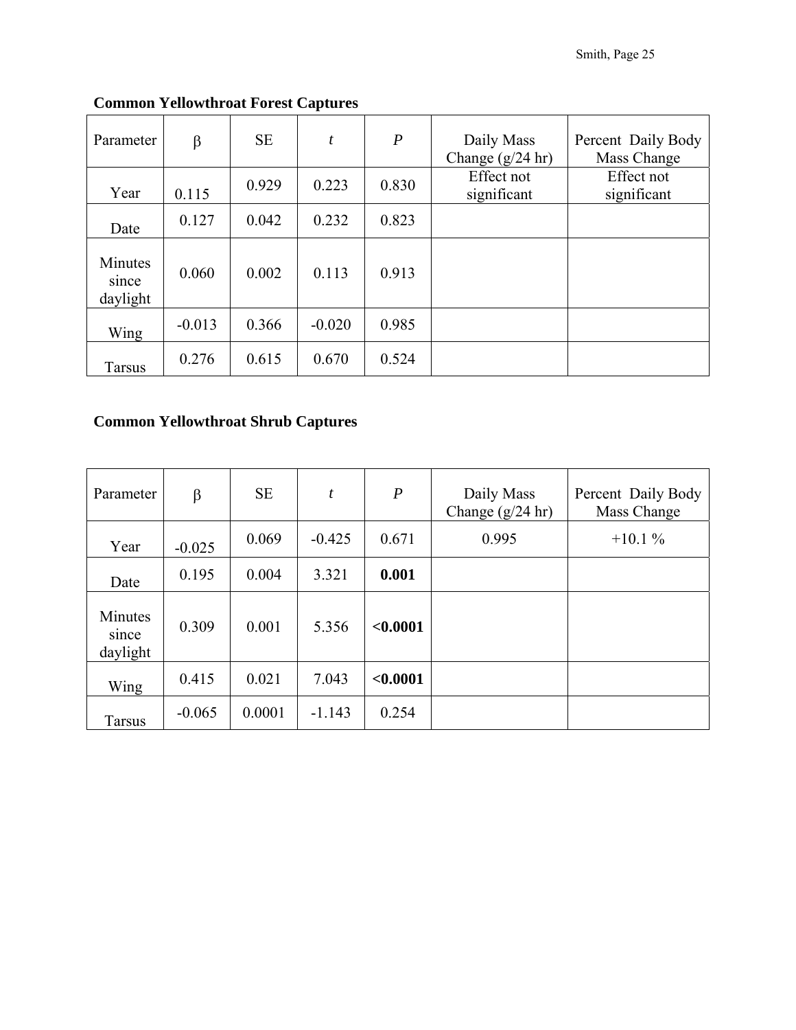| Parameter                    | β        | <b>SE</b> | t        | $\boldsymbol{P}$ | Daily Mass<br>Change $(g/24$ hr) | Percent Daily Body<br>Mass Change |
|------------------------------|----------|-----------|----------|------------------|----------------------------------|-----------------------------------|
| Year                         | 0.115    | 0.929     | 0.223    | 0.830            | Effect not<br>significant        | Effect not<br>significant         |
| Date                         | 0.127    | 0.042     | 0.232    | 0.823            |                                  |                                   |
| Minutes<br>since<br>daylight | 0.060    | 0.002     | 0.113    | 0.913            |                                  |                                   |
| Wing                         | $-0.013$ | 0.366     | $-0.020$ | 0.985            |                                  |                                   |
| <b>Tarsus</b>                | 0.276    | 0.615     | 0.670    | 0.524            |                                  |                                   |

# **Common Yellowthroat Forest Captures**

### **Common Yellowthroat Shrub Captures**

| Parameter                    | β        | <b>SE</b> | $\boldsymbol{t}$ | $\boldsymbol{P}$ | Daily Mass<br>Change $(g/24$ hr) | Percent Daily Body<br>Mass Change |
|------------------------------|----------|-----------|------------------|------------------|----------------------------------|-----------------------------------|
| Year                         | $-0.025$ | 0.069     | $-0.425$         | 0.671            | 0.995                            | $+10.1%$                          |
| Date                         | 0.195    | 0.004     | 3.321            | 0.001            |                                  |                                   |
| Minutes<br>since<br>daylight | 0.309    | 0.001     | 5.356            | < 0.0001         |                                  |                                   |
| Wing                         | 0.415    | 0.021     | 7.043            | < 0.0001         |                                  |                                   |
| Tarsus                       | $-0.065$ | 0.0001    | $-1.143$         | 0.254            |                                  |                                   |